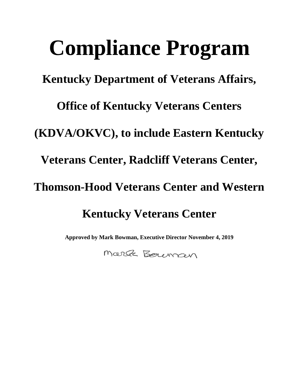# **Compliance Program Kentucky Department of Veterans Affairs, Office of Kentucky Veterans Centers (KDVA/OKVC), to include Eastern Kentucky Veterans Center, Radcliff Veterans Center, Thomson-Hood Veterans Center and Western Kentucky Veterans Center**

**Approved by Mark Bowman, Executive Director November 4, 2019**

Mark Bournan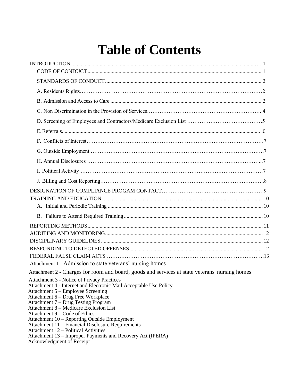## **Table of Contents**

| Attachment 1 - Admission to state veterans' nursing homes                                                                                                                                                                                                                                                                                                                                                                                                                                                                                    |  |
|----------------------------------------------------------------------------------------------------------------------------------------------------------------------------------------------------------------------------------------------------------------------------------------------------------------------------------------------------------------------------------------------------------------------------------------------------------------------------------------------------------------------------------------------|--|
| Attachment 2 - Charges for room and board, goods and services at state veterans' nursing homes                                                                                                                                                                                                                                                                                                                                                                                                                                               |  |
| <b>Attachment 3 - Notice of Privacy Practices</b><br>Attachment 4 - Internet and Electronic Mail Acceptable Use Policy<br>Attachment 5 – Employee Screening<br>Attachment 6 – Drug Free Workplace<br>Attachment 7 - Drug Testing Program<br><b>Attachment 8 – Medicare Exclusion List</b><br>Attachment 9 – Code of Ethics<br>Attachment 10 – Reporting Outside Employment<br>Attachment 11 – Financial Disclosure Requirements<br><b>Attachment 12 - Political Activities</b><br>Attachment 13 – Improper Payments and Recovery Act (IPERA) |  |
| <b>Acknowledgment of Receipt</b>                                                                                                                                                                                                                                                                                                                                                                                                                                                                                                             |  |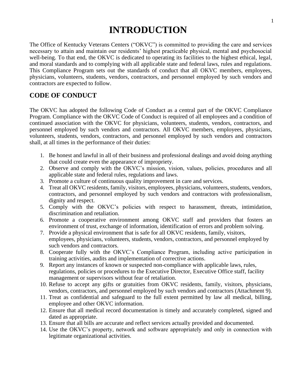## **INTRODUCTION**

The Office of Kentucky Veterans Centers ("OKVC") is committed to providing the care and services necessary to attain and maintain our residents' highest practicable physical, mental and psychosocial well-being. To that end, the OKVC is dedicated to operating its facilities to the highest ethical, legal, and moral standards and to complying with all applicable state and federal laws, rules and regulations. This Compliance Program sets out the standards of conduct that all OKVC members, employees, physicians, volunteers, students, vendors, contractors, and personnel employed by such vendors and contractors are expected to follow.

## **CODE OF CONDUCT**

The OKVC has adopted the following Code of Conduct as a central part of the OKVC Compliance Program. Compliance with the OKVC Code of Conduct is required of all employees and a condition of continued association with the OKVC for physicians, volunteers, students, vendors, contractors, and personnel employed by such vendors and contractors. All OKVC members, employees, physicians, volunteers, students, vendors, contractors, and personnel employed by such vendors and contractors shall, at all times in the performance of their duties:

- 1. Be honest and lawful in all of their business and professional dealings and avoid doing anything that could create even the appearance of impropriety.
- 2. Observe and comply with the OKVC's mission, vision, values, policies, procedures and all applicable state and federal rules, regulations and laws.
- 3. Promote a culture of continuous quality improvement in care and services.
- 4. Treat all OKVC residents, family, visitors, employees, physicians, volunteers, students, vendors, contractors, and personnel employed by such vendors and contractors with professionalism, dignity and respect.
- 5. Comply with the OKVC's policies with respect to harassment, threats, intimidation, discrimination and retaliation.
- 6. Promote a cooperative environment among OKVC staff and providers that fosters an environment of trust, exchange of information, identification of errors and problem solving.
- 7. Provide a physical environment that is safe for all OKVC residents, family, visitors, employees, physicians, volunteers, students, vendors, contractors, and personnel employed by such vendors and contractors.
- 8. Cooperate fully with the OKVC's Compliance Program, including active participation in training activities, audits and implementation of corrective actions.
- 9. Report any instances of known or suspected non-compliance with applicable laws, rules, regulations, policies or procedures to the Executive Director, Executive Office staff, facility management or supervisors without fear of retaliation.
- 10. Refuse to accept any gifts or gratuities from OKVC residents, family, visitors, physicians, vendors, contractors, and personnel employed by such vendors and contractors (Attachment 9).
- 11. Treat as confidential and safeguard to the full extent permitted by law all medical, billing, employee and other OKVC information.
- 12. Ensure that all medical record documentation is timely and accurately completed, signed and dated as appropriate.
- 13. Ensure that all bills are accurate and reflect services actually provided and documented.
- 14. Use the OKVC's property, network and software appropriately and only in connection with legitimate organizational activities.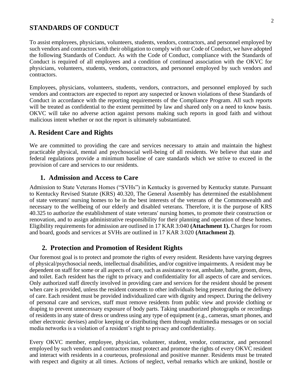#### **STANDARDS OF CONDUCT**

To assist employees, physicians, volunteers, students, vendors, contractors, and personnel employed by such vendors and contractors with their obligation to comply with our Code of Conduct, we have adopted the following Standards of Conduct. As with the Code of Conduct, compliance with the Standards of Conduct is required of all employees and a condition of continued association with the OKVC for physicians, volunteers, students, vendors, contractors, and personnel employed by such vendors and contractors.

Employees, physicians, volunteers, students, vendors, contractors, and personnel employed by such vendors and contractors are expected to report any suspected or known violations of these Standards of Conduct in accordance with the reporting requirements of the Compliance Program. All such reports will be treated as confidential to the extent permitted by law and shared only on a need to know basis. OKVC will take no adverse action against persons making such reports in good faith and without malicious intent whether or not the report is ultimately substantiated.

#### **A. Resident Care and Rights**

We are committed to providing the care and services necessary to attain and maintain the highest practicable physical, mental and psychosocial well-being of all residents. We believe that state and federal regulations provide a minimum baseline of care standards which we strive to exceed in the provision of care and services to our residents.

#### **1. Admission and Access to Care**

Admission to State Veterans Homes ("SVHs") in Kentucky is governed by Kentucky statute. Pursuant to Kentucky Revised Statute (KRS) 40.320, The General Assembly has determined the establishment of state veterans' nursing homes to be in the best interests of the veterans of the Commonwealth and necessary to the wellbeing of our elderly and disabled veterans. Therefore, it is the purpose of KRS 40.325 to authorize the establishment of state veterans' nursing homes, to promote their construction or renovation, and to assign administrative responsibility for their planning and operation of these homes. Eligibility requirements for admission are outlined in 17 KAR 3:040 **(Attachment 1).** Charges for room and board, goods and services at SVHs are outlined in 17 KAR 3:020 **(Attachment 2)**.

#### **2. Protection and Promotion of Resident Rights**

Our foremost goal is to protect and promote the rights of every resident. Residents have varying degrees of physical/psychosocial needs, intellectual disabilities, and/or cognitive impairments. A resident may be dependent on staff for some or all aspects of care, such as assistance to eat, ambulate, bathe, groom, dress, and toilet. Each resident has the right to privacy and confidentiality for all aspects of care and services. Only authorized staff directly involved in providing care and services for the resident should be present when care is provided, unless the resident consents to other individuals being present during the delivery of care. Each resident must be provided individualized care with dignity and respect. During the delivery of personal care and services, staff must remove residents from public view and provide clothing or draping to prevent unnecessary exposure of body parts. Taking unauthorized photographs or recordings of residents in any state of dress or undress using any type of equipment (e.g., cameras, smart phones, and other electronic devises) and/or keeping or distributing them through multimedia messages or on social media networks is a violation of a resident's right to privacy and confidentiality.

Every OKVC member, employee, physician, volunteer, student, vendor, contractor, and personnel employed by such vendors and contractors must protect and promote the rights of every OKVC resident and interact with residents in a courteous, professional and positive manner. Residents must be treated with respect and dignity at all times. Actions of neglect, verbal remarks which are unkind, hostile or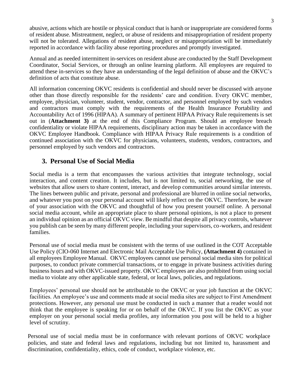abusive, actions which are hostile or physical conduct that is harsh or inappropriate are considered forms of resident abuse. Mistreatment, neglect, or abuse of residents and misappropriation of resident property will not be tolerated. Allegations of resident abuse, neglect or misappropriation will be immediately reported in accordance with facility abuse reporting procedures and promptly investigated.

Annual and as needed intermittent in-services on resident abuse are conducted by the Staff Development Coordinator, Social Services, or through an online learning platform. All employees are required to attend these in-services so they have an understanding of the legal definition of abuse and the OKVC's definition of acts that constitute abuse.

All information concerning OKVC residents is confidential and should never be discussed with anyone other than those directly responsible for the residents' care and condition. Every OKVC member, employee, physician, volunteer, student, vendor, contractor, and personnel employed by such vendors and contractors must comply with the requirements of the Health Insurance Portability and Accountability Act of 1996 (HIPAA). A summary of pertinent HIPAA Privacy Rule requirements is set out in (**Attachment 3)** at the end of this Compliance Program. Should an employee breach confidentiality or violate HIPAA requirements, disciplinary action may be taken in accordance with the OKVC Employee Handbook. Compliance with HIPAA Privacy Rule requirements is a condition of continued association with the OKVC for physicians, volunteers, students, vendors, contractors, and personnel employed by such vendors and contractors.

## **3. Personal Use of Social Media**

Social media is a term that encompasses the various activities that integrate technology, social interaction, and content creation. It includes, but is not limited to, social networking, the use of websites that allow users to share content, interact, and develop communities around similar interests. The lines between public and private, personal and professional are blurred in online social networks, and whatever you post on your personal account will likely reflect on the OKVC. Therefore, be aware of your association with the OKVC and thoughtful of how you present yourself online. A personal social media account, while an appropriate place to share personal opinions, is not a place to present an individual opinion as an official OKVC view. Be mindful that despite all privacy controls, whatever you publish can be seen by many different people, including your supervisors, co-workers, and resident families.

Personal use of social media must be consistent with the terms of use outlined in the COT Acceptable Use Policy (CIO-060 Internet and Electronic Mail Acceptable Use Policy, **(Attachment 4)** contained in all employees Employee Manual. OKVC employees cannot use personal social media sites for political purposes, to conduct private commercial transactions, or to engage in private business activities during business hours and with OKVC-issued property. OKVC employees are also prohibited from using social media to violate any other applicable state, federal, or local laws, policies, and regulations.

Employees' personal use should not be attributable to the OKVC or your job function at the OKVC facilities. An employee's use and comments made at social media sites are subject to First Amendment protections. However, any personal use must be conducted in such a manner that a reader would not think that the employee is speaking for or on behalf of the OKVC. If you list the OKVC as your employer on your personal social media profiles, any information you post will be held to a higher level of scrutiny.

Personal use of social media must be in conformance with relevant portions of OKVC workplace policies, and state and federal laws and regulations, including but not limited to, harassment and discrimination, confidentiality, ethics, code of conduct, workplace violence, etc.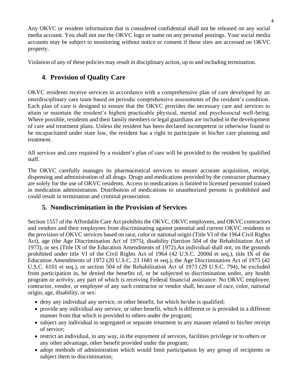Any OKVC or resident information that is considered confidential shall not be released on any social media account. You shall not use the OKVC logo or name on any personal postings. Your social media accounts may be subject to monitoring without notice or consent if these sites are accessed on OKVC property.

Violation of any of these policies may result in disciplinary action, up to and including termination.

## **4**. **Provision of Quality Care**

OKVC residents receive services in accordance with a comprehensive plan of care developed by an interdisciplinary care team based on periodic comprehensive assessments of the resident's condition. Each plan of care is designed to ensure that the OKVC provides the necessary care and services to attain or maintain the resident's highest practicable physical, mental and psychosocial well-being. Where possible, residents and their family members or legal guardians are included in the development of care and treatment plans. Unless the resident has been declared incompetent or otherwise found to be incapacitated under state law, the resident has a right to participate in his/her care planning and treatment.

All services and care required by a resident's plan of care will be provided to the resident by qualified staff.

The OKVC carefully manages its pharmaceutical services to ensure accurate acquisition, receipt, dispensing and administration of all drugs. Drugs and medications provided by the contractor pharmacy are solely for the use of OKVC residents. Access to medications is limited to licensed personnel trained in medication administration. Distribution of medications to unauthorized persons is prohibited and could result in termination and criminal prosecution.

## **5. Nondiscrimination in the Provision of Services**

Section 1557 of the Affordable Care Act prohibits the OKVC, OKVC employees, and OKVC contractors and vendors and their employees from discriminating against potential and current OKVC residents in the provision of OKVC services based on race, color or national origin (Title VI of the 1964 Civil Rights Act), age (the Age Discrimination Act of 1975), disability (Section 504 of the Rehabilitation Act of 1973), or sex (Title IX of the Education Amendments of 1972).An individual shall not, on the grounds prohibited under title VI of the Civil Rights Act of 1964 (42 U.S.C. 2000d et seq.), title IX of the Education Amendments of 1972 (20 U.S.C. 23 1681 et seq.), the Age Discrimination Act of 1975 (42 U.S.C. 6101 et seq.), or section 504 of the Rehabilitation Act of 1973 (29 U.S.C. 794), be excluded from participation in, be denied the benefits of, or be subjected to discrimination under, any health program or activity, any part of which is receiving Federal financial assistance. No OKVC employee, contractor, vendor, or employee of any such contractor or vendor shall, because of race, color, national origin, age, disability, or sex:

- deny any individual any service, or other benefit, for which he/she is qualified;
- provide any individual any service, or other benefit, which is different or is provided in a different manner from that which is provided to others under the program;
- subject any individual to segregated or separate treatment in any manner related to his/her receipt of service;
- restrict an individual, in any way, in the enjoyment of services, facilities privilege or to others or any other advantage, other benefit provided under the program;
- adopt methods of administration which would limit participation by any group of recipients or subject them to discrimination;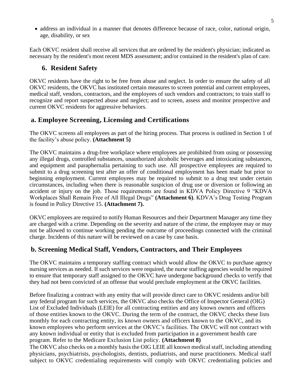• address an individual in a manner that denotes difference because of race, color, national origin, age, disability, or sex

Each OKVC resident shall receive all services that are ordered by the resident's physician; indicated as necessary by the resident's most recent MDS assessment; and/or contained in the resident's plan of care.

## **6. Resident Safety**

OKVC residents have the right to be free from abuse and neglect. In order to ensure the safety of all OKVC residents, the OKVC has instituted certain measures to screen potential and current employees, medical staff, vendors, contractors, and the employees of such vendors and contractors; to train staff to recognize and report suspected abuse and neglect; and to screen, assess and monitor prospective and current OKVC residents for aggressive behaviors.

## **a. Employee Screening, Licensing and Certifications**

The OKVC screens all employees as part of the hiring process. That process is outlined in Section 1 of the facility's abuse policy. **(Attachment 5)**

The OKVC maintains a drug-free workplace where employees are prohibited from using or possessing any illegal drugs, controlled substances, unauthorized alcoholic beverages and intoxicating substances, and equipment and paraphernalia pertaining to such use. All prospective employees are required to submit to a drug screening test after an offer of conditional employment has been made but prior to beginning employment. Current employees may be required to submit to a drug test under certain circumstances, including when there is reasonable suspicion of drug use or diversion or following an accident or injury on the job. Those requirements are found in KDVA Policy Directive 9 "KDVA Workplaces Shall Remain Free of All Illegal Drugs" **(Attachment 6)**. KDVA's Drug Testing Program is found in Policy Directive 15. **(Attachment 7).**

OKVC employees are required to notify Human Resources and their Department Manager any time they are charged with a crime. Depending on the severity and nature of the crime, the employee may or may not be allowed to continue working pending the outcome of proceedings connected with the criminal charge. Incidents of this nature will be reviewed on a case by case basis.

## **b. Screening Medical Staff, Vendors, Contractors, and Their Employees**

The OKVC maintains a temporary staffing contract which would allow the OKVC to purchase agency nursing services as needed. If such services were required, the nurse staffing agencies would be required to ensure that temporary staff assigned to the OKVC have undergone background checks to verify that they had not been convicted of an offense that would preclude employment at the OKVC facilities.

Before finalizing a contract with any entity that will provide direct care to OKVC residents and/or bill any federal program for such services, the OKVC also checks the Office of Inspector General (OIG) List of Excluded Individuals (LEIE) for all contracting entities and any known owners and officers of those entities known to the OKVC. During the term of the contract, the OKVC checks these lists monthly for each contracting entity, its known owners and officers known to the OKVC, and its known employees who perform services at the OKVC's facilities. The OKVC will not contract with any known individual or entity that is excluded from participation in a government health care program. Refer to the Medicare Exclusion List policy. **(Attachment 8)**

The OKVC also checks on a monthly basis the OIG LEIE all known medical staff, including attending physicians, psychiatrists, psychologists, dentists, podiatrists, and nurse practitioners. Medical staff subject to OKVC credentialing requirements will comply with OKVC credentialing policies and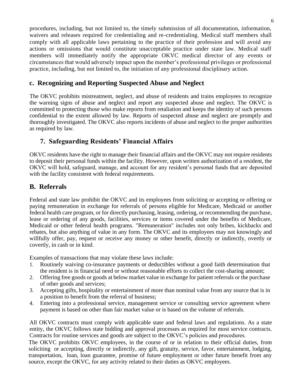procedures, including, but not limited to, the timely submission of all documentation, information, waivers and releases required for credentialing and re-credentialing. Medical staff members shall comply with all applicable laws pertaining to the practice of their profession and will avoid any actions or omissions that would constitute unacceptable practice under state law. Medical staff members will immediately notify the appropriate OKVC medical director of any events or circumstances that would adversely impact upon the member's professional privileges or professional practice, including, but not limited to, the initiation of any professional disciplinary action.

## **c. Recognizing and Reporting Suspected Abuse and Neglect**

The OKVC prohibits mistreatment, neglect, and abuse of residents and trains employees to recognize the warning signs of abuse and neglect and report any suspected abuse and neglect. The OKVC is committed to protecting those who make reports from retaliation and keeps the identity of such persons confidential to the extent allowed by law. Reports of suspected abuse and neglect are promptly and thoroughly investigated. The OKVC also reports incidents of abuse and neglect to the proper authorities as required by law.

## **7. Safeguarding Residents' Financial Affairs**

OKVC residents have the right to manage their financial affairs and the OKVC may not require residents to deposit their personal funds within the facility. However, upon written authorization of a resident, the OKVC will hold, safeguard, manage, and account for any resident's personal funds that are deposited with the facility consistent with federal requirements.

## **B. Referrals**

Federal and state law prohibit the OKVC and its employees from soliciting or accepting or offering or paying remuneration in exchange for referrals of persons eligible for Medicare, Medicaid or another federal health care program, or for directly purchasing, leasing, ordering, or recommending the purchase, lease or ordering of any goods, facilities, services or items covered under the benefits of Medicare, Medicaid or other federal health programs. "Remuneration" includes not only bribes, kickbacks and rebates, but also anything of value in any form. The OKVC and its employees may not knowingly and willfully offer, pay, request or receive any money or other benefit, directly or indirectly, overtly or covertly, in cash or in kind.

Examples of transactions that may violate these laws include:

- 1. Routinely waiving co-insurance payments or deductibles without a good faith determination that the resident is in financial need or without reasonable efforts to collect the cost-sharing amount;
- 2. Offering free goods or goods at below market value in exchange for patient referrals or the purchase of other goods and services;
- 3. Accepting gifts, hospitality or entertainment of more than nominal value from any source that is in a position to benefit from the referral of business;
- 4. Entering into a professional service, management service or consulting service agreement where payment is based on other than fair market value or is based on the volume of referrals.

All OKVC contracts must comply with applicable state and federal laws and regulations. As a state entity, the OKVC follows state bidding and approval processes as required for most service contracts. Contracts for routine services and goods are subject to the OKVC's policies and procedures.

The OKVC prohibits OKVC employees, in the course of or in relation to their official duties, from soliciting or accepting, directly or indirectly, any gift, gratuity, service, favor, entertainment, lodging, transportation, loan, loan guarantee, promise of future employment or other future benefit from any source, except the OKVC, for any activity related to their duties as OKVC employees.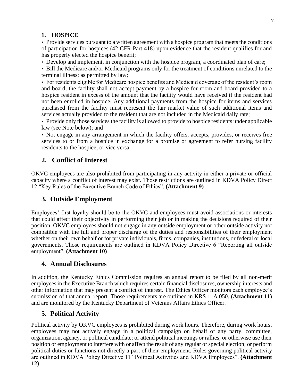## **1. HOSPICE**

• Provide services pursuant to a written agreement with a hospice program that meets the conditions of participation for hospices (42 CFR Part 418) upon evidence that the resident qualifies for and has properly elected the hospice benefit;

• Develop and implement, in conjunction with the hospice program, a coordinated plan of care;

• Bill the Medicare and/or Medicaid programs only for the treatment of conditions unrelated to the terminal illness; as permitted by law;

• For residents eligible for Medicare hospice benefits and Medicaid coverage of the resident's room and board, the facility shall not accept payment by a hospice for room and board provided to a hospice resident in excess of the amount that the facility would have received if the resident had not been enrolled in hospice. Any additional payments from the hospice for items and services purchased from the facility must represent the fair market value of such additional items and services actually provided to the resident that are not included in the Medicaid daily rate;

• Provide only those services the facility is allowed to provide to hospice residents under applicable law (see Note below); and

• Not engage in any arrangement in which the facility offers, accepts, provides, or receives free services to or from a hospice in exchange for a promise or agreement to refer nursing facility residents to the hospice; or vice versa.

## **2. Conflict of Interest**

OKVC employees are also prohibited from participating in any activity in either a private or official capacity where a conflict of interest may exist. Those restrictions are outlined in KDVA Policy Direct 12 "Key Rules of the Executive Branch Code of Ethics". **(Attachment 9)**

## **3. Outside Employment**

Employees' first loyalty should be to the OKVC and employees must avoid associations or interests that could affect their objectivity in performing their job or in making the decisions required of their position. OKVC employees should not engage in any outside employment or other outside activity not compatible with the full and proper discharge of the duties and responsibilities of their employment whether on their own behalf or for private individuals, firms, companies, institutions, or federal or local governments. Those requirements are outlined in KDVA Policy Directive 6 "Reporting all outside employment". **(Attachment 10)**

## **4. Annual Disclosures**

In addition, the Kentucky Ethics Commission requires an annual report to be filed by all non-merit employees in the Executive Branch which requires certain financial disclosures, ownership interests and other information that may present a conflict of interest. The Ethics Officer monitors each employee's submission of that annual report. Those requirements are outlined in KRS 11A.050. **(Attachment 11)**  and are monitored by the Kentucky Department of Veterans Affairs Ethics Officer.

## **5. Political Activity**

Political activity by OKVC employees is prohibited during work hours. Therefore, during work hours, employees may not actively engage in a political campaign on behalf of any party, committee, organization, agency, or political candidate; or attend political meetings or rallies; or otherwise use their position or employment to interfere with or affect the result of any regular or special election; or perform political duties or functions not directly a part of their employment. Rules governing political activity are outlined in KDVA Policy Directive 11 "Political Activities and KDVA Employees". **(Attachment 12)**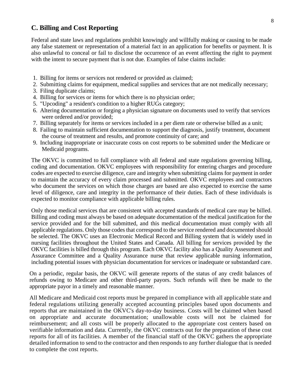## **C. Billing and Cost Reporting**

Federal and state laws and regulations prohibit knowingly and willfully making or causing to be made any false statement or representation of a material fact in an application for benefits or payment. It is also unlawful to conceal or fail to disclose the occurrence of an event affecting the right to payment with the intent to secure payment that is not due. Examples of false claims include:

- 1. Billing for items or services not rendered or provided as claimed;
- 2. Submitting claims for equipment, medical supplies and services that are not medically necessary;
- 3. Filing duplicate claims;
- 4. Billing for services or items for which there is no physician order;
- 5. "Upcoding" a resident's condition to a higher RUGs category;
- 6. Altering documentation or forging a physician signature on documents used to verify that services were ordered and/or provided;
- 7. Billing separately for items or services included in a per diem rate or otherwise billed as a unit;
- 8. Failing to maintain sufficient documentation to support the diagnosis, justify treatment, document the course of treatment and results, and promote continuity of care; and
- 9. Including inappropriate or inaccurate costs on cost reports to be submitted under the Medicare or Medicaid programs.

The OKVC is committed to full compliance with all federal and state regulations governing billing, coding and documentation. OKVC employees with responsibility for entering charges and procedure codes are expected to exercise diligence, care and integrity when submitting claims for payment in order to maintain the accuracy of every claim processed and submitted. OKVC employees and contractors who document the services on which those charges are based are also expected to exercise the same level of diligence, care and integrity in the performance of their duties. Each of these individuals is expected to monitor compliance with applicable billing rules.

Only those medical services that are consistent with accepted standards of medical care may be billed. Billing and coding must always be based on adequate documentation of the medical justification for the service provided and for the bill submitted, and this medical documentation must comply with all applicable regulations. Only those codes that correspond to the service rendered and documented should be selected. The OKVC uses an Electronic Medical Record and Billing system that is widely used in nursing facilities throughout the United States and Canada. All billing for services provided by the OKVC facilities is billed through this program. Each OKVC facility also has a Quality Assessment and Assurance Committee and a Quality Assurance nurse that review applicable nursing information, including potential issues with physician documentation for services or inadequate or substandard care.

On a periodic, regular basis, the OKVC will generate reports of the status of any credit balances of refunds owing to Medicare and other third-party payors. Such refunds will then be made to the appropriate payor in a timely and reasonable manner.

All Medicare and Medicaid cost reports must be prepared in compliance with all applicable state and federal regulations utilizing generally accepted accounting principles based upon documents and reports that are maintained in the OKVC's day-to-day business. Costs will be claimed when based on appropriate and accurate documentation; unallowable costs will not be claimed for reimbursement; and all costs will be properly allocated to the appropriate cost centers based on verifiable information and data. Currently, the OKVC contracts out for the preparation of these cost reports for all of its facilities. A member of the financial staff of the OKVC gathers the appropriate detailed information to send to the contractor and then responds to any further dialogue that is needed to complete the cost reports.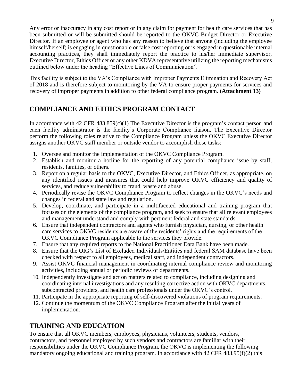Any error or inaccuracy in any cost report or in any claim for payment for health care services that has been submitted or will be submitted should be reported to the OKVC Budget Director or Executive Director. If an employee or agent who has any reason to believe that anyone (including the employee himself/herself) is engaging in questionable or false cost reporting or is engaged in questionable internal accounting practices, they shall immediately report the practice to his/her immediate supervisor, Executive Director, Ethics Officer or any other KDVA representative utilizing the reporting mechanisms outlined below under the heading "Effective Lines of Communication".

This facility is subject to the VA's Compliance with Improper Payments Elimination and Recovery Act of 2018 and is therefore subject to monitoring by the VA to ensure proper payments for services and recovery of improper payments in addition to other federal compliance program. **(Attachment 13)**

## **COMPLIANCE AND ETHICS PROGRAM CONTACT**

In accordance with  $42 \text{ CFR } 483.859(c)(1)$  The Executive Director is the program's contact person and each facility administrator is the facility's Corporate Compliance liaison. The Executive Director perform the following roles relative to the Compliance Program unless the OKVC Executive Director assigns another OKVC staff member or outside vendor to accomplish those tasks:

- 1. Oversee and monitor the implementation of the OKVC Compliance Program.
- 2. Establish and monitor a hotline for the reporting of any potential compliance issue by staff, residents, families, or others.
- 3. Report on a regular basis to the OKVC, Executive Director, and Ethics Officer, as appropriate, on any identified issues and measures that could help improve OKVC efficiency and quality of services, and reduce vulnerability to fraud, waste and abuse.
- 4. Periodically revise the OKVC Compliance Program to reflect changes in the OKVC's needs and changes in federal and state law and regulation.
- 5. Develop, coordinate, and participate in a multifaceted educational and training program that focuses on the elements of the compliance program, and seek to ensure that all relevant employees and management understand and comply with pertinent federal and state standards.
- 6. Ensure that independent contractors and agents who furnish physician, nursing, or other health care services to OKVC residents are aware of the residents' rights and the requirements of the OKVC Compliance Program applicable to the services they provide.
- 7. Ensure that any required reports to the National Practitioner Data Bank have been made.
- 8. Ensure that the OIG's List of Excluded Individuals/Entities and federal SAM database have been checked with respect to all employees, medical staff, and independent contractors.
- 9. Assist OKVC financial management in coordinating internal compliance review and monitoring activities, including annual or periodic reviews of departments.
- 10. Independently investigate and act on matters related to compliance, including designing and coordinating internal investigations and any resulting corrective action with OKVC departments, subcontracted providers, and health care professionals under the OKVC's control.
- 11. Participate in the appropriate reporting of self-discovered violations of program requirements.
- 12. Continue the momentum of the OKVC Compliance Program after the initial years of implementation.

## **TRAINING AND EDUCATION**

To ensure that all OKVC members, employees, physicians, volunteers, students, vendors, contractors, and personnel employed by such vendors and contractors are familiar with their responsibilities under the OKVC Compliance Program, the OKVC is implementing the following mandatory ongoing educational and training program. In accordance with 42 CFR 483.95(f)(2) this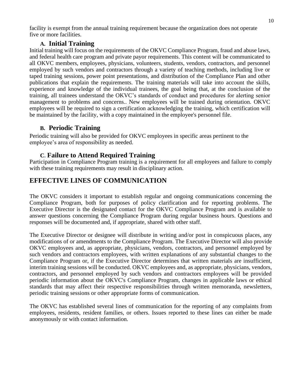facility is exempt from the annual training requirement because the organization does not operate five or more facilities.

## **A. Initial Training**

Initial training will focus on the requirements of the OKVC Compliance Program, fraud and abuse laws, and federal health care program and private payor requirements. This content will be communicated to all OKVC members, employees, physicians, volunteers, students, vendors, contractors, and personnel employed by such vendors and contractors through a variety of teaching methods, including live or taped training sessions, power point presentations, and distribution of the Compliance Plan and other publications that explain the requirements. The training materials will take into account the skills, experience and knowledge of the individual trainees, the goal being that, at the conclusion of the training, all trainees understand the OKVC's standards of conduct and procedures for alerting senior management to problems and concerns.. New employees will be trained during orientation. OKVC employees will be required to sign a certification acknowledging the training, which certification will be maintained by the facility, with a copy maintained in the employee's personnel file.

## **B. Periodic Training**

Periodic training will also be provided for OKVC employees in specific areas pertinent to the employee's area of responsibility as needed.

## **C. Failure to Attend Required Training**

Participation in Compliance Program training is a requirement for all employees and failure to comply with these training requirements may result in disciplinary action.

## **EFFECTIVE LINES OF COMMUNICATION**

The OKVC considers it important to establish regular and ongoing communications concerning the Compliance Program, both for purposes of policy clarification and for reporting problems. The Executive Director is the designated contact for the OKVC Compliance Program and is available to answer questions concerning the Compliance Program during regular business hours. Questions and responses will be documented and, if appropriate, shared with other staff.

The Executive Director or designee will distribute in writing and/or post in conspicuous places, any modifications of or amendments to the Compliance Program. The Executive Director will also provide OKVC employees and, as appropriate, physicians, vendors, contractors, and personnel employed by such vendors and contractors employees, with written explanations of any substantial changes to the Compliance Program or, if the Executive Director determines that written materials are insufficient, interim training sessions will be conducted. OKVC employees and, as appropriate, physicians, vendors, contractors, and personnel employed by such vendors and contractors employees will be provided periodic information about the OKVC's Compliance Program, changes in applicable laws or ethical standards that may affect their respective responsibilities through written memoranda, newsletters, periodic training sessions or other appropriate forms of communication.

The OKVC has established several lines of communication for the reporting of any complaints from employees, residents, resident families, or others. Issues reported to these lines can either be made anonymously or with contact information.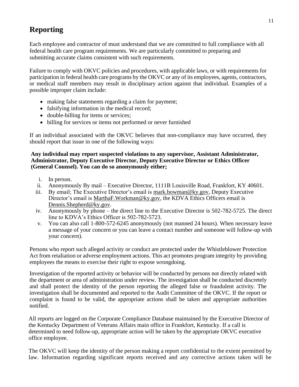## **Reporting**

Each employee and contractor of must understand that we are committed to full compliance with all federal health care program requirements. We are particularly committed to preparing and submitting accurate claims consistent with such requirements.

Failure to comply with OKVC policies and procedures, with applicable laws, or with requirements for participation in federal health care programs by the OKVC or any of its employees, agents, contractors, or medical staff members may result in disciplinary action against that individual. Examples of a possible improper claim include:

- making false statements regarding a claim for payment;
- falsifying information in the medical record;
- double-billing for items or services;
- billing for services or items not performed or never furnished

If an individual associated with the OKVC believes that non-compliance may have occurred, they should report that issue in one of the following ways:

#### **Any individual may report suspected violations to any supervisor, Assistant Administrator, Administrator, Deputy Executive Director, Deputy Executive Director or Ethics Officer (General Counsel). You can do so anonymously either;**

- i. In person.
- ii. Anonymously By mail Executive Director, 1111B Louisville Road, Frankfort, KY 40601.
- iii. By email; The Executive Director's email is [mark.bowman@ky.gov,](mailto:mark.bowman@ky.gov) Deputy Executive Director's email is [MarthaF.Workman@ky.gov,](mailto:MarthaF.Workman@ky.gov) the KDVA Ethics Officers email is [Dennis.Shepherd@ky.gov.](mailto:Dennis.Shepherd@ky.gov)
- iv. Anonymously by phone the direct line to the Executive Director is 502-782-5725. The direct line to KDVA's Ethics Officer is 502-782-5723.
- v. You can also call 1-800-572-6245 anonymously (not manned 24 hours). When necessary leave a message of your concern or you can leave a contact number and someone will follow-up with your concern).

Persons who report such alleged activity or conduct are protected under the Whistleblower Protection Act from retaliation or adverse employment actions. This act promotes program integrity by providing employees the means to exercise their right to expose wrongdoing.

Investigation of the reported activity or behavior will be conducted by persons not directly related with the department or area of administration under review. The investigation shall be conducted discretely and shall protect the identity of the person reporting the alleged false or fraudulent activity. The investigation shall be documented and reported to the Audit Committee of the OKVC. If the report or complaint is found to be valid, the appropriate actions shall be taken and appropriate authorities notified.

All reports are logged on the Corporate Compliance Database maintained by the Executive Director of the Kentucky Department of Veterans Affairs main office in Frankfort, Kentucky. If a call is determined to need follow-up, appropriate action will be taken by the appropriate OKVC executive office employee.

The OKVC will keep the identity of the person making a report confidential to the extent permitted by law. Information regarding significant reports received and any corrective actions taken will be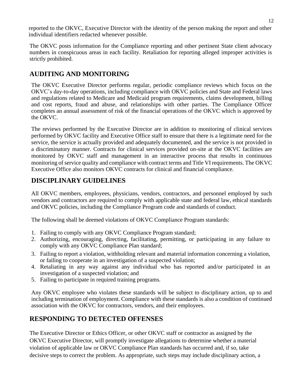reported to the OKVC, Executive Director with the identity of the person making the report and other individual identifiers redacted whenever possible.

The OKVC posts information for the Compliance reporting and other pertinent State client advocacy numbers in conspicuous areas in each facility. Retaliation for reporting alleged improper activities is strictly prohibited.

## **AUDITING AND MONITORING**

The OKVC Executive Director performs regular, periodic compliance reviews which focus on the OKVC's day-to-day operations, including compliance with OKVC policies and State and Federal laws and regulations related to Medicare and Medicaid program requirements, claims development, billing and cost reports, fraud and abuse, and relationships with other parties. The Compliance Officer completes an annual assessment of risk of the financial operations of the OKVC which is approved by the OKVC.

The reviews performed by the Executive Director are in addition to monitoring of clinical services performed by OKVC facility and Executive Office staff to ensure that there is a legitimate need for the service, the service is actually provided and adequately documented, and the service is not provided in a discriminatory manner. Contracts for clinical services provided on-site at the OKVC facilities are monitored by OKVC staff and management in an interactive process that results in continuous monitoring of service quality and compliance with contract terms and Title VI requirements. The OKVC Executive Office also monitors OKVC contracts for clinical and financial compliance.

## **DISCIPLINARY GUIDELINES**

All OKVC members, employees, physicians, vendors, contractors, and personnel employed by such vendors and contractors are required to comply with applicable state and federal law, ethical standards and OKVC policies, including the Compliance Program code and standards of conduct.

The following shall be deemed violations of OKVC Compliance Program standards:

- 1. Failing to comply with any OKVC Compliance Program standard;
- 2. Authorizing, encouraging, directing, facilitating, permitting, or participating in any failure to comply with any OKVC Compliance Plan standard;
- 3. Failing to report a violation, withholding relevant and material information concerning a violation, or failing to cooperate in an investigation of a suspected violation;
- 4. Retaliating in any way against any individual who has reported and/or participated in an investigation of a suspected violation; and
- 5. Failing to participate in required training programs.

Any OKVC employee who violates these standards will be subject to disciplinary action, up to and including termination of employment. Compliance with these standards is also a condition of continued association with the OKVC for contractors, vendors, and their employees.

## **RESPONDING TO DETECTED OFFENSES**

The Executive Director or Ethics Officer, or other OKVC staff or contractor as assigned by the OKVC Executive Director, will promptly investigate allegations to determine whether a material violation of applicable law or OKVC Compliance Plan standards has occurred and, if so, take decisive steps to correct the problem. As appropriate, such steps may include disciplinary action, a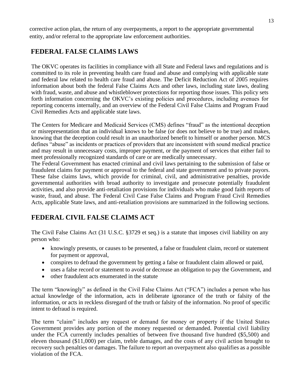corrective action plan, the return of any overpayments, a report to the appropriate governmental entity, and/or referral to the appropriate law enforcement authorities.

## **FEDERAL FALSE CLAIMS LAWS**

The OKVC operates its facilities in compliance with all State and Federal laws and regulations and is committed to its role in preventing health care fraud and abuse and complying with applicable state and federal law related to health care fraud and abuse. The Deficit Reduction Act of 2005 requires information about both the federal False Claims Acts and other laws, including state laws, dealing with fraud, waste, and abuse and whistleblower protections for reporting those issues. This policy sets forth information concerning the OKVC's existing policies and procedures, including avenues for reporting concerns internally, and an overview of the Federal Civil False Claims and Program Fraud Civil Remedies Acts and applicable state laws.

The Centers for Medicare and Medicaid Services (CMS) defines "fraud" as the intentional deception or misrepresentation that an individual knows to be false (or does not believe to be true) and makes, knowing that the deception could result in an unauthorized benefit to himself or another person. MCS defines "abuse" as incidents or practices of providers that are inconsistent with sound medical practice and may result in unnecessary costs, improper payment, or the payment of services that either fail to meet professionally recognized standards of care or are medically unnecessary.

The Federal Government has enacted criminal and civil laws pertaining to the submission of false or fraudulent claims for payment or approval to the federal and state government and to private payors. These false claims laws, which provide for criminal, civil, and administrative penalties, provide governmental authorities with broad authority to investigate and prosecute potentially fraudulent activities, and also provide anti-retaliation provisions for individuals who make good faith reports of waste, fraud, and abuse. The Federal Civil Case False Claims and Program Fraud Civil Remedies Acts, applicable State laws, and anti-retaliation provisions are summarized in the following sections.

## **FEDERAL CIVIL FALSE CLAIMS ACT**

The Civil False Claims Act (31 U.S.C. §3729 et seq.) is a statute that imposes civil liability on any person who:

- knowingly presents, or causes to be presented, a false or fraudulent claim, record or statement for payment or approval,
- conspires to defraud the government by getting a false or fraudulent claim allowed or paid,
- uses a false record or statement to avoid or decrease an obligation to pay the Government, and
- other fraudulent acts enumerated in the statute

The term "knowingly" as defined in the Civil False Claims Act ("FCA") includes a person who has actual knowledge of the information, acts in deliberate ignorance of the truth or falsity of the information, or acts in reckless disregard of the truth or falsity of the information. No proof of specific intent to defraud is required.

The term "claim" includes any request or demand for money or property if the United States Government provides any portion of the money requested or demanded. Potential civil liability under the FCA currently includes penalties of between five thousand five hundred (\$5,500) and eleven thousand (\$11,000) per claim, treble damages, and the costs of any civil action brought to recovery such penalties or damages. The failure to report an overpayment also qualifies as a possible violation of the FCA.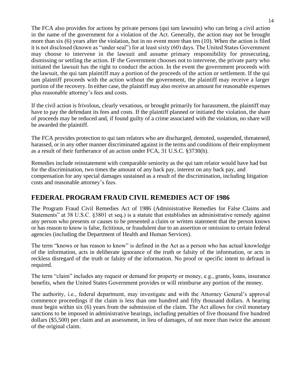The FCA also provides for actions by private persons (qui tam lawsuits) who can bring a civil action in the name of the government for a violation of the Act. Generally, the action may not be brought more than six (6) years after the violation, but in no event more than ten (10). When the action is filed it is not disclosed (known as "under seal") for at least sixty (60) days. The United States Government may choose to intervene in the lawsuit and assume primary responsibility for prosecuting, dismissing or settling the action. IF the Government chooses not to intervene, the private party who initiated the lawsuit has the right to conduct the action. In the event the government proceeds with the lawsuit, the qui tam plaintiff may a portion of the proceeds of the action or settlement. If the qui tam plaintiff proceeds with the action without the government, the plaintiff may receive a larger portion of the recovery. In either case, the plaintiff may also receive an amount for reasonable expenses plus reasonable attorney's fees and costs.

If the civil action is frivolous, clearly vexatious, or brought primarily for harassment, the plaintiff may have to pay the defendant its fees and costs. If the plaintiff planned or initiated the violation, the share of proceeds may be reduced and, if found guilty of a crime associated with the violation, no share will be awarded the plaintiff.

The FCA provides protection to qui tam relators who are discharged, demoted, suspended, threatened, harassed, or in any other manner discriminated against in the terms and conditions of their employment as a result of their furtherance of an action under FCA, 31 U.S.C. §3730(h).

Remedies include reinstatement with comparable seniority as the qui tam relator would have had but for the discrimination, two times the amount of any back pay, interest on any back pay, and compensation for any special damages sustained as a result of the discrimination, including litigation costs and reasonable attorney's fees.

## **FEDERAL PROGRAM FRAUD CIVIL REMEDIES ACT OF 1986**

The Program Fraud Civil Remedies Act of 1986 (Administrative Remedies for False Claims and Statements" at 38 U.S.C. §3801 et seq.) is a statute that establishes an administrative remedy against any person who presents or causes to be presented a claim or written statement that the person knows or has reason to know is false, fictitious, or fraudulent due to an assertion or omission to certain federal agencies (including the Department of Health and Human Services).

The term "knows or has reason to know" is defined in the Act as a person who has actual knowledge of the information, acts in deliberate ignorance of the truth or falsity of the information, or acts in reckless disregard of the truth or falsity of the information. No proof or specific intent to defraud is required.

The term "claim" includes any request or demand for property or money, e.g., grants, loans, insurance benefits, when the United States Government provides or will reimburse any portion of the money.

The authority, i.e., federal department, may investigate and with the Attorney General's approval commence proceedings if the claim is less than one hundred and fifty thousand dollars. A hearing must begin within six (6) years from the submission of the claim. The Act allows for civil monetary sanctions to be imposed in administrative hearings, including penalties of five thousand five hundred dollars (\$5,500) per claim and an assessment, in lieu of damages, of not more than twice the amount of the original claim.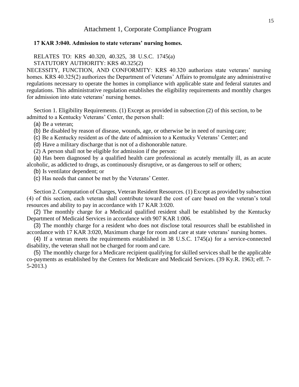#### Attachment 1, Corporate Compliance Program

#### **17 KAR 3:040. Admission to state veterans' nursing homes.**

RELATES TO: KRS 40.320, 40.325, 38 U.S.C. 1745(a)

STATUTORY AUTHORITY: KRS 40.325(2)

NECESSITY, FUNCTION, AND CONFORMITY: KRS 40.320 authorizes state veterans' nursing homes. KRS 40.325(2) authorizes the Department of Veterans' Affairs to promulgate any administrative regulations necessary to operate the homes in compliance with applicable state and federal statutes and regulations. This administrative regulation establishes the eligibility requirements and monthly charges for admission into state veterans' nursing homes.

Section 1. Eligibility Requirements. (1) Except as provided in subsection (2) of this section, to be admitted to a Kentucky Veterans' Center, the person shall:

(a) Be a veteran;

(b) Be disabled by reason of disease, wounds, age, or otherwise be in need of nursing care;

(c) Be a Kentucky resident as of the date of admission to a Kentucky Veterans' Center; and

(d) Have a military discharge that is not of a dishonorable nature.

(2) A person shall not be eligible for admission if the person:

(a) Has been diagnosed by a qualified health care professional as acutely mentally ill, as an acute alcoholic, as addicted to drugs, as continuously disruptive, or as dangerous to self or others;

(b) Is ventilator dependent; or

(c) Has needs that cannot be met by the Veterans' Center.

Section 2. Computation of Charges, Veteran Resident Resources. (1) Except as provided by subsection (4) of this section, each veteran shall contribute toward the cost of care based on the veteran's total resources and ability to pay in accordance with 17 KAR 3:020.

(2) The monthly charge for a Medicaid qualified resident shall be established by the Kentucky Department of Medicaid Services in accordance with 907 KAR 1:006.

(3) The monthly charge for a resident who does not disclose total resources shall be established in accordance with 17 KAR 3:020, Maximum charge for room and care at state veterans' nursing homes.

(4) If a veteran meets the requirements established in 38 U.S.C. 1745(a) for a service-connected disability, the veteran shall not be charged for room and care.

(5) The monthly charge for a Medicare recipient qualifying for skilled services shall be the applicable co-payments as established by the Centers for Medicare and Medicaid Services. (39 Ky.R. 1963; eff. 7- 5-2013.)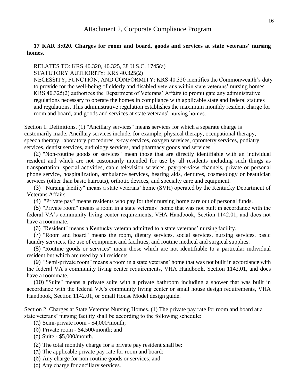#### **17 KAR 3:020. Charges for room and board, goods and services at state veterans' nursing homes.**

#### RELATES TO: KRS 40.320, 40.325, 38 U.S.C. 1745(a)

#### STATUTORY AUTHORITY: KRS 40.325(2)

NECESSITY, FUNCTION, AND CONFORMITY: KRS 40.320 identifies the Commonwealth's duty to provide for the well-being of elderly and disabled veterans within state veterans' nursing homes. KRS 40.325(2) authorizes the Department of Veterans' Affairs to promulgate any administrative regulations necessary to operate the homes in compliance with applicable state and federal statutes and regulations. This administrative regulation establishes the maximum monthly resident charge for room and board, and goods and services at state veterans' nursing homes.

Section 1. Definitions. (1) "Ancillary services" means services for which a separate charge is customarily made. Ancillary services include, for example, physical therapy, occupational therapy, speech therapy, laboratory procedures, x-ray services, oxygen services, optometry services, podiatry services, dentist services, audiology services, and pharmacy goods and services.

(2) "Non-routine goods or services" mean those that are directly identifiable with an individual resident and which are not customarily intended for use by all residents including such things as transportation, special activities, cable television services, pay-per-view channels, private or personal phone service, hospitalization, ambulance services, hearing aids, dentures, cosmetology or beautician services (other than basic haircuts), orthotic devices, and specialty care and equipment.

(3) "Nursing facility" means a state veterans' home (SVH) operated by the Kentucky Department of Veterans Affairs.

(4) "Private pay" means residents who pay for their nursing home care out of personal funds.

(5) "Private room" means a room in a state veterans' home that was not built in accordance with the federal VA's community living center requirements, VHA Handbook, Section 1142.01, and does not have a roommate.

(6) "Resident" means a Kentucky veteran admitted to a state veterans' nursing facility.

(7) "Room and board" means the room, dietary services, social services, nursing services, basic laundry services, the use of equipment and facilities, and routine medical and surgical supplies.

(8) "Routine goods or services" mean those which are not identifiable to a particular individual resident but which are used by all residents.

(9) "Semi-private room" means a room in a state veterans' home that was not built in accordance with the federal VA's community living center requirements, VHA Handbook, Section 1142.01, and does have a roommate.

(10) "Suite" means a private suite with a private bathroom including a shower that was built in accordance with the federal VA's community living center or small house design requirements, VHA Handbook, Section 1142.01, or Small House Model design guide.

Section 2. Charges at State Veterans Nursing Homes. (1) The private pay rate for room and board at a state veterans' nursing facility shall be according to the following schedule:

(a) Semi-private room - \$4,000/month;

- (b) Private room \$4,500/month; and
- (c) Suite \$5,000/month.
- (2) The total monthly charge for a private pay resident shall be:
- (a) The applicable private pay rate for room and board;
- (b) Any charge for non-routine goods or services; and
- (c) Any charge for ancillary services.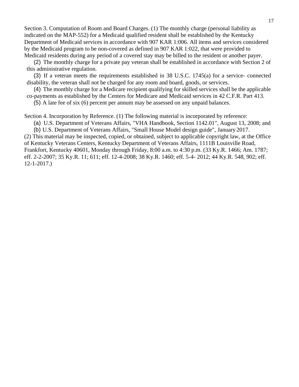Section 3. Computation of Room and Board Charges. (1) The monthly charge (personal liability as indicated on the MAP-552) for a Medicaid qualified resident shall be established by the Kentucky Department of Medicaid services in accordance with 907 KAR 1:006. All items and services considered by the Medicaid program to be non-covered as defined in 907 KAR 1:022, that were provided to Medicaid residents during any period of a covered stay may be billed to the resident or another payer.

(2) The monthly charge for a private pay veteran shall be established in accordance with Section 2 of this administrative regulation.

(3) If a veteran meets the requirements established in 38 U.S.C. 1745(a) for a service- connected disability, the veteran shall not be charged for any room and board, goods, or services.

(4) The monthly charge for a Medicare recipient qualifying for skilled services shall be the applicable co-payments as established by the Centers for Medicare and Medicaid services in 42 C.F.R. Part 413.

(5) A late fee of six (6) percent per annum may be assessed on any unpaid balances.

Section 4. Incorporation by Reference. (1) The following material is incorporated by reference:

(a) U.S. Department of Veterans Affairs, "VHA Handbook, Section 1142.01", August 13, 2008; and (b) U.S. Department of Veterans Affairs, "Small House Model design guide", January 2017.

(2) This material may be inspected, copied, or obtained, subject to applicable copyright law, at the Office of Kentucky Veterans Centers, Kentucky Department of Veterans Affairs, 1111B Louisville Road, Frankfort, Kentucky 40601, Monday through Friday, 8:00 a.m. to 4:30 p.m. (33 Ky.R. 1466; Am. 1787; eff. 2-2-2007; 35 Ky.R. 11; 611; eff. 12-4-2008; 38 Ky.R. 1460; eff. 5-4- 2012; 44 Ky.R. 548, 902; eff. 12-1-2017.)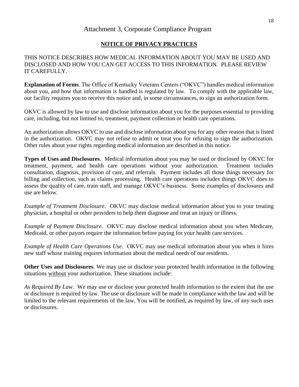#### Attachment 3, Corporate Compliance Program

#### **NOTICE OF PRIVACY PRACTICES**

#### THIS NOTICE DESCRIBES HOW MEDICAL INFORMATION ABOUT YOU MAY BE USED AND DISCLOSED AND HOW YOU CAN GET ACCESS TO THIS INFORMATION. PLEASE REVIEW IT CAREFULLY.

**Explanation of Forms**. The Office of Kentucky Veterans Centers ("OKVC") handles medical information about you, and how that information is handled is regulated by law. To comply with the applicable law, our facility requires you to receive this notice and, in some circumstances, to sign an authorization form.

OKVC is allowed by law to use and disclose information about you for the purposes essential to providing care, including, but not limited to, treatment, payment collection or health care operations.

An authorization allows OKVC to use and disclose information about you for any other reason that is listed in the authorization. OKVC may not refuse to admit or treat you for refusing to sign the authorization. Other rules about your rights regarding medical information are described in this notice.

**Types of Uses and Disclosures**. Medical information about you may be used or disclosed by OKVC for treatment, payment, and health care operations without your authorization. Treatment includes consultation, diagnosis, provision of care, and referrals. Payment includes all those things necessary for billing and collection, such as claims processing. Health care operations includes things OKVC does to assess the quality of care, train staff, and manage OKVC's business. Some examples of disclosures and use are below.

*Example of Treatment Disclosure*. OKVC may disclose medical information about you to your treating physician, a hospital or other providers to help them diagnose and treat an injury or illness.

*Example of Payment Disclosure*. OKVC may disclose medical information about you when Medicare, Medicaid, or other payors require the information before paying for your health care services.

*Example of Health Care Operations Use*. OKVC may use medical information about you when it hires new staff whose training requires information about the medical needs of our residents.

**Other Uses and Disclosures**. We may use or disclose your protected health information in the following situations without your authorization. These situations include:

*As Required By Law*. We may use or disclose your protected health information to the extent that the use or disclosure is required by law. The use or disclosure will be made in compliance with the law and will be limited to the relevant requirements of the law. You will be notified, as required by law, of any such uses or disclosures.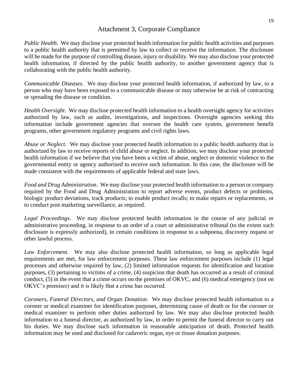*Public Health*. We may disclose your protected health information for public health activities and purposes to a public health authority that is permitted by law to collect or receive the information. The disclosure will be made for the purpose of controlling disease, injury or disability. We may also disclose your protected health information, if directed by the public health authority, to another government agency that is collaborating with the public health authority.

*Communicable Diseases*. We may disclose your protected health information, if authorized by law, to a person who may have been exposed to a communicable disease or may otherwise be at risk of contracting or spreading the disease or condition.

*Health Oversight*. We may disclose protected health information to a health oversight agency for activities authorized by law, such as audits, investigations, and inspections. Oversight agencies seeking this information include government agencies that oversee the health care system, government benefit programs, other government regulatory programs and civil rights laws.

*Abuse or Neglect*. We may disclose your protected health information to a public health authority that is authorized by law to receive reports of child abuse or neglect. In addition, we may disclose your protected health information if we believe that you have been a victim of abuse, neglect or domestic violence to the governmental entity or agency authorized to receive such information. In this case, the disclosure will be made consistent with the requirements of applicable federal and state laws.

*Food and Drug Administration*. We may disclose your protected health information to a person or company required by the Food and Drug Administration to report adverse events, product defects or problems, biologic product deviations, track products; to enable product recalls; to make repairs or replacements, or to conduct post marketing surveillance, as required.

*Legal Proceedings*. We may disclose protected health information in the course of any judicial or administrative proceeding, in response to an order of a court or administrative tribunal (to the extent such disclosure is expressly authorized), in certain conditions in response to a subpoena, discovery request or other lawful process.

*Law Enforcement*. We may also disclose protected health information, so long as applicable legal requirements are met, for law enforcement purposes. These law enforcement purposes include (1) legal processes and otherwise required by law, (2) limited information requests for identification and location purposes, (3) pertaining to victims of a crime, (4) suspicion that death has occurred as a result of criminal conduct, (5) in the event that a crime occurs on the premises of OKVC, and (6) medical emergency (not on OKVC's premises) and it is likely that a crime has occurred.

*Coroners, Funeral Directors, and Organ Donation*. We may disclose protected health information to a coroner or medical examiner for identification purposes, determining cause of death or for the coroner or medical examiner to perform other duties authorized by law. We may also disclose protected health information to a funeral director, as authorized by law, in order to permit the funeral director to carry out his duties. We may disclose such information in reasonable anticipation of death. Protected health information may be used and disclosed for cadaveric organ, eye or tissue donation purposes.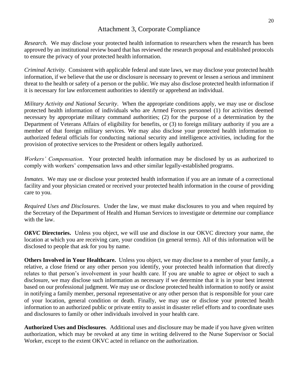*Research*. We may disclose your protected health information to researchers when the research has been approved by an institutional review board that has reviewed the research proposal and established protocols to ensure the privacy of your protected health information.

*Criminal Activity*. Consistent with applicable federal and state laws, we may disclose your protected health information, if we believe that the use or disclosure is necessary to prevent or lessen a serious and imminent threat to the health or safety of a person or the public. We may also disclose protected health information if it is necessary for law enforcement authorities to identify or apprehend an individual.

*Military Activity and National Security*. When the appropriate conditions apply, we may use or disclose protected health information of individuals who are Armed Forces personnel (1) for activities deemed necessary by appropriate military command authorities; (2) for the purpose of a determination by the Department of Veterans Affairs of eligibility for benefits, or (3) to foreign military authority if you are a member of that foreign military services. We may also disclose your protected health information to authorized federal officials for conducting national security and intelligence activities, including for the provision of protective services to the President or others legally authorized.

*Workers' Compensation*. Your protected health information may be disclosed by us as authorized to comply with workers' compensation laws and other similar legally-established programs.

*Inmates*. We may use or disclose your protected health information if you are an inmate of a correctional facility and your physician created or received your protected health information in the course of providing care to you.

*Required Uses and Disclosures*. Under the law, we must make disclosures to you and when required by the Secretary of the Department of Health and Human Services to investigate or determine our compliance with the law.

*OKVC* **Directories.** Unless you object, we will use and disclose in our OKVC directory your name, the location at which you are receiving care, your condition (in general terms). All of this information will be disclosed to people that ask for you by name.

**Others Involved in Your Healthcare.** Unless you object, we may disclose to a member of your family, a relative, a close friend or any other person you identify, your protected health information that directly relates to that person's involvement in your health care. If you are unable to agree or object to such a disclosure, we may disclose such information as necessary if we determine that it is in your best interest based on our professional judgment. We may use or disclose protected health information to notify or assist in notifying a family member, personal representative or any other person that is responsible for your care of your location, general condition or death. Finally, we may use or disclose your protected health information to an authorized public or private entity to assist in disaster relief efforts and to coordinate uses and disclosures to family or other individuals involved in your health care.

**Authorized Uses and Disclosures**. Additional uses and disclosure may be made if you have given written authorization, which may be revoked at any time in writing delivered to the Nurse Supervisor or Social Worker, except to the extent OKVC acted in reliance on the authorization.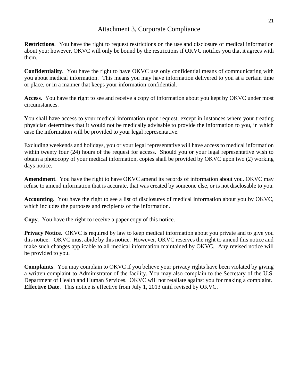**Restrictions**. You have the right to request restrictions on the use and disclosure of medical information about you; however, OKVC will only be bound by the restrictions if OKVC notifies you that it agrees with them.

**Confidentiality**. You have the right to have OKVC use only confidential means of communicating with you about medical information. This means you may have information delivered to you at a certain time or place, or in a manner that keeps your information confidential.

**Access**. You have the right to see and receive a copy of information about you kept by OKVC under most circumstances.

You shall have access to your medical information upon request, except in instances where your treating physician determines that it would not be medically advisable to provide the information to you, in which case the information will be provided to your legal representative.

Excluding weekends and holidays, you or your legal representative will have access to medical information within twenty four (24) hours of the request for access. Should you or your legal representative wish to obtain a photocopy of your medical information, copies shall be provided by OKVC upon two (2) working days notice.

**Amendment**. You have the right to have OKVC amend its records of information about you. OKVC may refuse to amend information that is accurate, that was created by someone else, or is not disclosable to you.

**Accounting**. You have the right to see a list of disclosures of medical information about you by OKVC, which includes the purposes and recipients of the information.

**Copy**. You have the right to receive a paper copy of this notice.

**Privacy Notice.** OKVC is required by law to keep medical information about you private and to give you this notice. OKVC must abide by this notice. However, OKVC reserves the right to amend this notice and make such changes applicable to all medical information maintained by OKVC. Any revised notice will be provided to you.

**Complaints**. You may complain to OKVC if you believe your privacy rights have been violated by giving a written complaint to Administrator of the facility. You may also complain to the Secretary of the U.S. Department of Health and Human Services. OKVC will not retaliate against you for making a complaint. **Effective Date**. This notice is effective from July 1, 2013 until revised by OKVC.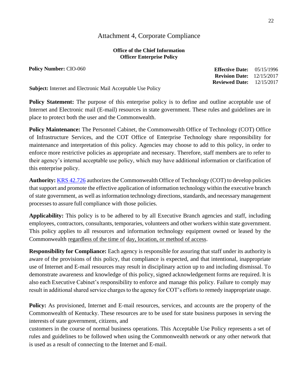#### **Office of the Chief Information Officer Enterprise Policy**

**Policy Number: CIO-060** 

| <b>Effective Date:</b> | 05/15/1996 |
|------------------------|------------|
| <b>Revision Date:</b>  | 12/15/2017 |
| <b>Reviewed Date:</b>  | 12/15/2017 |

**Subject:** Internet and Electronic Mail Acceptable Use Policy

**Policy Statement:** The purpose of this enterprise policy is to define and outline acceptable use of Internet and Electronic mail (E-mail) resources in state government. These rules and guidelines are in place to protect both the user and the Commonwealth.

**Policy Maintenance:** The Personnel Cabinet, the Commonwealth Office of Technology (COT) Office of Infrastructure Services, and the COT Office of Enterprise Technology share responsibility for maintenance and interpretation of this policy. Agencies may choose to add to this policy, in order to enforce more restrictive policies as appropriate and necessary. Therefore, staff members are to refer to their agency's internal acceptable use policy, which may have additional information or clarification of this enterprise policy.

**Authority:** [KRS 42.726](http://www.lrc.ky.gov/statutes/statute.aspx?id=43580) authorizes the Commonwealth Office of Technology (COT) to develop policies that support and promote the effective application of information technology within the executive branch of state government, as well as information technology directions, standards, and necessary management processes to assure full compliance with those policies.

**Applicability:** This policy is to be adhered to by all Executive Branch agencies and staff, including employees, contractors, consultants, temporaries, volunteers and other workers within state government. This policy applies to all resources and information technology equipment owned or leased by the Commonwealth regardless of the time of day, location, or method of access.

**Responsibility for Compliance:** Each agency is responsible for assuring that staff under its authority is aware of the provisions of this policy, that compliance is expected, and that intentional, inappropriate use of Internet and E-mail resources may result in disciplinary action up to and including dismissal. To demonstrate awareness and knowledge of this policy, signed acknowledgement forms are required. It is also each Executive Cabinet's responsibility to enforce and manage this policy. Failure to comply may result in additional shared service charges to the agency for COT's efforts to remedy inappropriate usage.

**Policy:** As provisioned, Internet and E-mail resources, services, and accounts are the property of the Commonwealth of Kentucky. These resources are to be used for state business purposes in serving the interests of state government, citizens, and

customers in the course of normal business operations. This Acceptable Use Policy represents a set of rules and guidelines to be followed when using the Commonwealth network or any other network that is used as a result of connecting to the Internet and E-mail.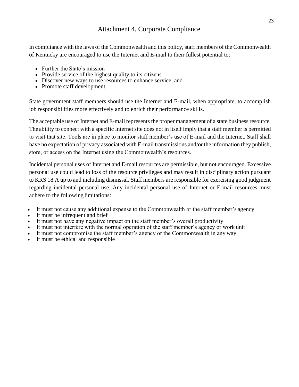In compliance with the laws of the Commonwealth and this policy, staff members of the Commonwealth of Kentucky are encouraged to use the Internet and E-mail to their fullest potential to:

- Further the State's mission
- Provide service of the highest quality to its citizens
- Discover new ways to use resources to enhance service, and
- Promote staff development

State government staff members should use the Internet and E-mail, when appropriate, to accomplish job responsibilities more effectively and to enrich their performance skills.

The acceptable use of Internet and E-mail represents the proper management of a state business resource. The ability to connect with a specific Internet site does not in itself imply that a staff member is permitted to visit that site. Tools are in place to monitor staff member's use of E-mail and the Internet. Staff shall have no expectation of privacy associated with E-mail transmissions and/or the information they publish, store, or access on the Internet using the Commonwealth's resources.

Incidental personal uses of Internet and E-mail resources are permissible, but not encouraged. Excessive personal use could lead to loss of the resource privileges and may result in disciplinary action pursuant to KRS 18.A up to and including dismissal. Staff members are responsible for exercising good judgment regarding incidental personal use. Any incidental personal use of Internet or E-mail resources must adhere to the following limitations:

- It must not cause any additional expense to the Commonwealth or the staff member's agency
- It must be infrequent and brief
- It must not have any negative impact on the staff member's overall productivity
- It must not interfere with the normal operation of the staff member's agency or work unit
- It must not compromise the staff member's agency or the Commonwealth in any way
- It must be ethical and responsible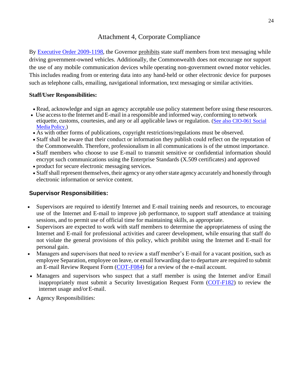By [Executive Order 2009-1198,](http://apps.sos.ky.gov/Executive/Journal/execjournalimages/2009-MISC-2009-1198-206362.pdf) the Governor prohibits state staff members from text messaging while driving government-owned vehicles. Additionally, the Commonwealth does not encourage nor support the use of any mobile communication devices while operating non-government owned motor vehicles. This includes reading from or entering data into any hand-held or other electronic device for purposes such as telephone calls, emailing, navigational information, text messaging or similar activities.

#### **Staff/User Responsibilities:**

- Read, acknowledge and sign an agency acceptable use policy statement before using these resources.
- Use accessto the Internet and E-mail in a responsible and informed way, conforming to network etiquette, customs, courtesies, and any or all applicable laws or regulation. [\(See also CIO-061 Social](http://technology.ky.gov/policy/Pages/CIO-061.aspx)  Media [Policy.\)](http://technology.ky.gov/policy/Pages/CIO-061.aspx)
- As with other forms of publications, copyright restrictions/regulations must be observed.
- Staff shall be aware that their conduct or information they publish could reflect on the reputation of the Commonwealth. Therefore, professionalism in all communications is of the utmost importance.
- Staff members who choose to use E-mail to transmit sensitive or confidential information should encrypt such communications using the Enterprise Standards (X.509 certificates) and approved
- product for secure electronic messaging services.
- Staff shall represent themselves, their agency or any other state agency accurately and honestly through electronic information or service content.

## **Supervisor Responsibilities:**

- Supervisors are required to identify Internet and E-mail training needs and resources, to encourage use of the Internet and E-mail to improve job performance, to support staff attendance at training sessions, and to permit use of official time for maintaining skills, as appropriate.
- Supervisors are expected to work with staff members to determine the appropriateness of using the Internet and E-mail for professional activities and career development, while ensuring that staff do not violate the general provisions of this policy, which prohibit using the Internet and E-mail for personal gain.
- Managers and supervisors that need to review a staff member's E-mail for a vacant position, such as employee Separation, employee on leave, or email forwarding due to departure are required to submit an E-mail Review Request Form [\(COT-F084\)](https://gotsource.ky.gov/docushare/dsweb/Get/Document-81289/) for a review of the e-mail account.
- Managers and supervisors who suspect that a staff member is using the Internet and/or Email inappropriately must submit a Security Investigation Request Form [\(COT-F182\)](https://gotsource.ky.gov/docushare/dsweb/Get/Document-308282/) to review the internet usage and/orE-mail.
- Agency Responsibilities: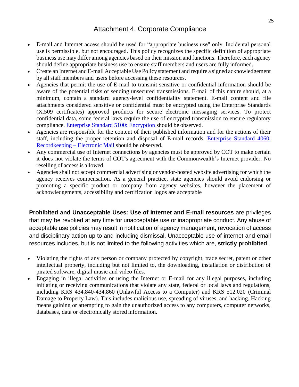- E-mail and Internet access should be used for "appropriate business use" only. Incidental personal use is permissible, but not encouraged. This policy recognizes the specific definition of appropriate business use may differ among agencies based on their mission and functions. Therefore, each agency should define appropriate business use to ensure staff members and users are fully informed.
- Create an Internet and E-mail Acceptable Use Policy statement and require a signed acknowledgement by all staff members and users before accessing these resources.
- Agencies that permit the use of E-mail to transmit sensitive or confidential information should be aware of the potential risks of sending unsecured transmissions. E-mail of this nature should, at a minimum, contain a standard agency-level confidentiality statement. E-mail content and file attachments considered sensitive or confidential must be encrypted using the Enterprise Standards (X.509 certificates) approved products for secure electronic messaging services. To protect confidential data, some federal laws require the use of encrypted transmission to ensure regulatory compliance. [Enterprise Standard 5100: Encryption](https://cgp.ky.gov/sites/COTPUBDOCS/Standards/05000%20-%20Security%20Domain_KITS_Report.pdf) should be observed.
- Agencies are responsible for the content of their published information and for the actions of their staff, including the proper retention and disposal of E-mail records. [Enterprise Standard 4060:](https://cgp.ky.gov/sites/COTPUBDOCS/Standards/04000%20-%20Data%20Domain_KITS_Report.pdf)  [Recordkeeping –](https://cgp.ky.gov/sites/COTPUBDOCS/Standards/04000%20-%20Data%20Domain_KITS_Report.pdf) Electronic Mail should be observed.
- Any commercial use of Internet connections by agencies must be approved by COT to make certain it does not violate the terms of COT's agreement with the Commonwealth's Internet provider. No reselling of access is allowed.
- Agencies shall not accept commercial advertising or vendor-hosted website advertising for which the agency receives compensation. As a general practice, state agencies should avoid endorsing or promoting a specific product or company from agency websites, however the placement of acknowledgements, accessibility and certification logos are acceptable

**Prohibited and Unacceptable Uses: Use of Internet and E-mail resources** are privileges that may be revoked at any time for unacceptable use or inappropriate conduct. Any abuse of acceptable use policies may result in notification of agency management, revocation of access and disciplinary action up to and including dismissal. Unacceptable use of internet and email resources includes, but is not limited to the following activities which are, **strictly prohibited**.

- Violating the rights of any person or company protected by copyright, trade secret, patent or other intellectual property, including but not limited to, the downloading, installation or distribution of pirated software, digital music and video files.
- Engaging in illegal activities or using the Internet or E-mail for any illegal purposes, including initiating or receiving communications that violate any state, federal or local laws and regulations, including KRS 434.840-434.860 (Unlawful Access to a Computer) and KRS 512.020 (Criminal Damage to Property Law). This includes malicious use, spreading of viruses, and hacking. Hacking means gaining or attempting to gain the unauthorized access to any computers, computer networks, databases, data or electronically stored information.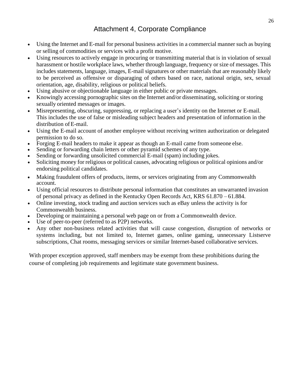- Using the Internet and E-mail for personal business activities in a commercial manner such as buying or selling of commodities or services with a profit motive.
- Using resources to actively engage in procuring or transmitting material that is in violation of sexual harassment or hostile workplace laws, whether through language, frequency or size of messages. This includes statements, language, images, E-mail signatures or other materials that are reasonably likely to be perceived as offensive or disparaging of others based on race, national origin, sex, sexual orientation, age, disability, religious or political beliefs.
- Using abusive or objectionable language in either public or private messages.
- Knowingly accessing pornographic sites on the Internet and/or disseminating, soliciting or storing sexually oriented messages or images.
- Misrepresenting, obscuring, suppressing, or replacing a user's identity on the Internet or E-mail. This includes the use of false or misleading subject headers and presentation of information in the distribution ofE-mail.
- Using the E-mail account of another employee without receiving written authorization or delegated permission to do so.
- Forging E-mail headers to make it appear as though an E-mail came from someone else.
- Sending or forwarding chain letters or other pyramid schemes of any type.
- Sending or forwarding unsolicited commercial E-mail (spam) including jokes.
- Soliciting money for religious or political causes, advocating religious or political opinions and/or endorsing political candidates.
- Making fraudulent offers of products, items, or services originating from any Commonwealth account.
- Using official resources to distribute personal information that constitutes an unwarranted invasion of personal privacy as defined in the Kentucky Open Records Act, KRS 61.870 – 61.884.
- Online investing, stock trading and auction services such as eBay unless the activity is for Commonwealth business.
- Developing or maintaining a personal web page on or from a Commonwealth device.
- Use of peer-to-peer (referred to as P2P) networks.
- Any other non-business related activities that will cause congestion, disruption of networks or systems including, but not limited to, Internet games, online gaming, unnecessary Listserve subscriptions, Chat rooms, messaging services or similar Internet-based collaborative services.

With proper exception approved, staff members may be exempt from these prohibitions during the course of completing job requirements and legitimate state government business.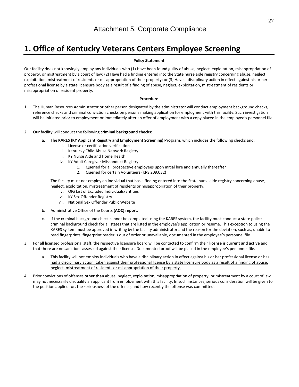## **1. Office of Kentucky Veterans Centers Employee Screening**

#### **Policy Statement**

Our facility does not knowingly employ any individuals who (1) Have been found guilty of abuse, neglect, exploitation, misappropriation of property, or mistreatment by a court of law; (2) Have had a finding entered into the State nurse aide registry concerning abuse, neglect, exploitation, mistreatment of residents or misappropriation of their property; or (3) Have a disciplinary action in effect against his or her professional license by a state licensure body as a result of a finding of abuse, neglect, exploitation, mistreatment of residents or misappropriation of resident property.

#### **Procedure**

1. The Human Resources Administrator or other person designated by the administrator will conduct employment background checks, reference checks and criminal conviction checks on persons making application for employment with this facility. Such investigation will be initiated prior to employment or immediately after an offer of employment with a copy placed in the employee's personnel file.

#### 2. Our facility will conduct the following **criminal background checks:**

- a. The **KARES (KY Applicant Registry and Employment Screening) Program**, which includes the following checks and;
	- i. License or certification verification
	- ii. Kentucky Child Abuse Network Registry
	- iii. KY Nurse Aide and Home Health
	- iv. KY Adult Caregiver Misconduct Registry
		- 1. Queried for all prospective employees upon initial hire and annually thereafter
		- 2. Queried for certain Volunteers (KRS 209.032)

The facility must not employ an individual that has a finding entered into the State nurse aide registry concerning abuse, neglect, exploitation, mistreatment of residents or misappropriation of their property.

- v. OIG List of Excluded Individuals/Entities
- vi. KY Sex Offender Registry
- vii. National Sex Offender Public Website
- b. Administrative Office of the Courts **(AOC) report**.
- c. If the criminal background check cannot be completed using the KARES system, the facility must conduct a state police criminal background check for all states that are listed in the employee's application or resume. This exception to using the KARES system must be approved in writing by the facility administrator and the reason for the deviation, such as, unable to read fingerprints, fingerprint reader is out of order or unavailable, documented in the employee's personnel file.
- 3. For all licensed professional staff, the respective licensure board will be contacted to confirm their **license is current and active** and that there are no sanctions assessed against their license. Documented proof will be placed in the employee's personnel file.
	- a. This facility will not employ individuals who have a disciplinary action in effect against his or her professional license or has had a disciplinary action taken against their professional license by a state licensure body as a result of a finding of abuse, neglect, mistreatment of residents or misappropriation of their property.
- 4. Prior convictions of offenses **other than** abuse, neglect, exploitation, misappropriation of property, or mistreatment by a court of law may not necessarily disqualify an applicant from employment with this facility. In such instances, serious consideration will be given to the position applied for, the seriousness of the offense, and how recently the offense was committed.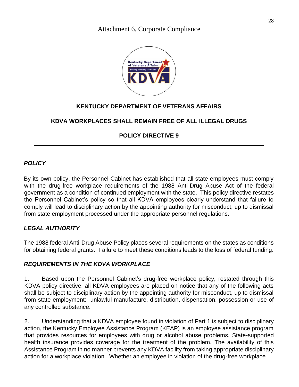

## **KENTUCKY DEPARTMENT OF VETERANS AFFAIRS**

## **KDVA WORKPLACES SHALL REMAIN FREE OF ALL ILLEGAL DRUGS**

## **POLICY DIRECTIVE 9**

## *POLICY*

By its own policy, the Personnel Cabinet has established that all state employees must comply with the drug-free workplace requirements of the 1988 Anti-Drug Abuse Act of the federal government as a condition of continued employment with the state. This policy directive restates the Personnel Cabinet's policy so that all KDVA employees clearly understand that failure to comply will lead to disciplinary action by the appointing authority for misconduct, up to dismissal from state employment processed under the appropriate personnel regulations.

## *LEGAL AUTHORITY*

The 1988 federal Anti-Drug Abuse Policy places several requirements on the states as conditions for obtaining federal grants. Failure to meet these conditions leads to the loss of federal funding.

## *REQUIREMENTS IN THE KDVA WORKPLACE*

1. Based upon the Personnel Cabinet's drug-free workplace policy, restated through this KDVA policy directive, all KDVA employees are placed on notice that any of the following acts shall be subject to disciplinary action by the appointing authority for misconduct, up to dismissal from state employment: unlawful manufacture, distribution, dispensation, possession or use of any controlled substance.

2. Understanding that a KDVA employee found in violation of Part 1 is subject to disciplinary action, the Kentucky Employee Assistance Program (KEAP) is an employee assistance program that provides resources for employees with drug or alcohol abuse problems. State-supported health insurance provides coverage for the treatment of the problem. The availability of this Assistance Program in no manner prevents any KDVA facility from taking appropriate disciplinary action for a workplace violation. Whether an employee in violation of the drug-free workplace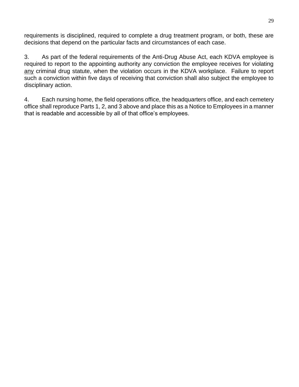requirements is disciplined, required to complete a drug treatment program, or both, these are decisions that depend on the particular facts and circumstances of each case.

3. As part of the federal requirements of the Anti-Drug Abuse Act, each KDVA employee is required to report to the appointing authority any conviction the employee receives for violating any criminal drug statute, when the violation occurs in the KDVA workplace. Failure to report such a conviction within five days of receiving that conviction shall also subject the employee to disciplinary action.

4. Each nursing home, the field operations office, the headquarters office, and each cemetery office shall reproduce Parts 1, 2, and 3 above and place this as a Notice to Employees in a manner that is readable and accessible by all of that office's employees.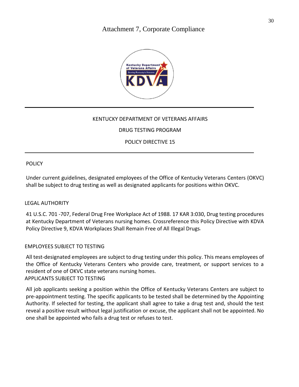

#### KENTUCKY DEPARTMENT OF VETERANS AFFAIRS

#### DRUG TESTING PROGRAM

#### POLICY DIRECTIVE 15

#### **POLICY**

Under current guidelines, designated employees of the Office of Kentucky Veterans Centers (OKVC) shall be subject to drug testing as well as designated applicants for positions within OKVC.

#### LEGAL AUTHORITY

41 U.S.C. 701 -707, Federal Drug Free Workplace Act of 1988. 17 KAR 3:030, Drug testing procedures at Kentucky Department of Veterans nursing homes. Crossreference this Policy Directive with KDVA Policy Directive 9, KDVA Workplaces Shall Remain Free of All Illegal Drugs

#### EMPLOYEES SUBJECT TO TESTING

All test-designated employees are subject to drug testing under this policy. This means employees of the Office of Kentucky Veterans Centers who provide care, treatment, or support services to a resident of one of OKVC state veterans nursing homes. APPLICANTS SUBJECT TO TESTING

All job applicants seeking a position within the Office of Kentucky Veterans Centers are subject to pre-appointment testing. The specific applicants to be tested shall be determined by the Appointing Authority. If selected for testing, the applicant shall agree to take a drug test and, should the test reveal a positive result without legal justification or excuse, the applicant shall not be appointed. No one shall be appointed who fails a drug test or refuses to test.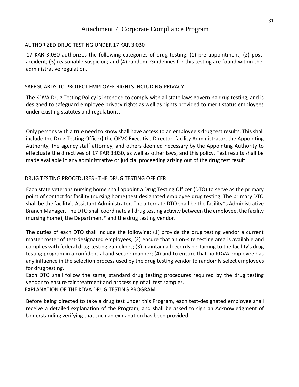## Attachment 7, Corporate Compliance Program

#### AUTHORIZED DRUG TESTING UNDER 17 KAR 3:030

17 KAR 3:030 authorizes the following categories of drug testing: (1) pre-appointment; (2) postaccident; (3) reasonable suspicion; and (4) random. Guidelines for this testing are found within the administrative regulation.

#### SAFEGUARDS TO PROTECT EMPLOYEE RIGHTS INCLUDING PRIVACY

The KDVA Drug Testing Policy is intended to comply with all state laws governing drug testing, and is designed to safeguard employee privacy rights as well as rights provided to merit status employees under existing statutes and regulations.

Only persons with a true need to know shall have access to an employee's drug test results. This shall include the Drug Testing Officer} the OKVC Executive Director, facility Administrator, the Appointing Authority, the agency staff attorney, and others deemed necessary by the Appointing Authority to effectuate the directives of 17 KAR 3:030, as well as other laws, and this policy. Test results shall be made available in any administrative or judicial proceeding arising out of the drug test result.

#### DRUG TESTING PROCEDURES - THE DRUG TESTING OFFICER

Each state veterans nursing home shall appoint a Drug Testing Officer (DTO) to serve as the primary point of contact for facility (nursing home) test designated employee drug testing. The primary DTO shall be the facility's Assistant Administrator. The alternate DTO shall be the facility\*s Administrative Branch Manager. The DTO shall coordinate all drug testing activity between the employee, the facility (nursing home), the Department\* and the drug testing vendor.

The duties of each DTO shall include the following: (1) provide the drug testing vendor a current master roster of test-designated employees; (2) ensure that an on-site testing area is available and complies with federal drug-testing guidelines; (3) maintain all records pertaining to the facility's drug testing program in a confidential and secure manner; (4) and to ensure that no KDVA employee has any influence in the selection process used by the drug testing vendor to randomly select employees for drug testing.

Each DTO shall follow the same, standard drug testing procedures required by the drug testing vendor to ensure fair treatment and processing of all test samples. EXPLANATION OF THE KDVA DRUG TESTING PROGRAM

Before being directed to take a drug test under this Program, each test-designated employee shall receive a detailed explanation of the Program, and shall be asked to sign an Acknowledgment of Understanding verifying that such an explanation has been provided.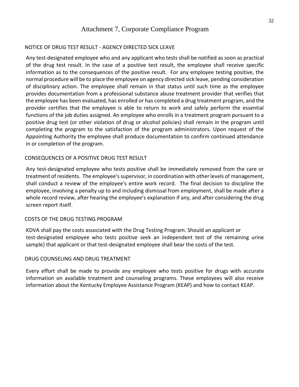## Attachment 7, Corporate Compliance Program

#### NOTICE OF DRUG TEST RESULT - AGENCY DIRECTED SICK LEAVE

Any test-designated employee who and any applicant who tests shall be notified as soon as practical of the drug test result. In the case of a positive test result, the employee shall receive specific information as to the consequences of the positive result. For any employee testing positive, the normal procedure will be to place the employee on agency directed sick leave, pending consideration of disciplinary action. The employee shall remain in that status until such time as the employee provides documentation from a professional substance abuse treatment provider that verifies that the employee has been evaluated, has enrolled or has completed a drug treatment program, and the provider certifies that the employee is able to return to work and safely perform the essential functions of the job duties assigned. An employee who enrolls in a treatment program pursuant to a positive drug test (or other violation of drug or alcohol policies) shall remain in the program until completing the program to the satisfaction of the program administrators. Upon request of the Appointing Authority the employee shall produce documentation to confirm continued attendance in or completion of the program.

#### CONSEQUENCES OF A POSITIVE DRUG TEST RESULT

Any test-designated employee who tests positive shall be immediately removed from the care or treatment of residents. The employee's supervisor, in coordination with other levels of management, shall conduct a review of the employee's entire work record. The final decision to discipline the employee, involving a penalty up to and including dismissal from employment, shall be made after a whole record review, after hearing the employee's explanation if any, and after considering the drug screen report itself.

#### COSTS OF THE DRUG TESTING PROGRAM

KDVA shall pay the costs associated with the Drug Testing Program. Should an applicant or test-designated employee who tests positive seek an independent test of the remaining urine sample} that applicant or that test-designated employee shall bear the costs of the test.

#### DRUG COUNSELING AND DRUG TREATMENT

Every effort shall be made to provide any employee who tests positive for drugs with accurate information on available treatment and counseling programs. These employees will also receive information about the Kentucky Employee Assistance Program (KEAP) and how to contact KEAP.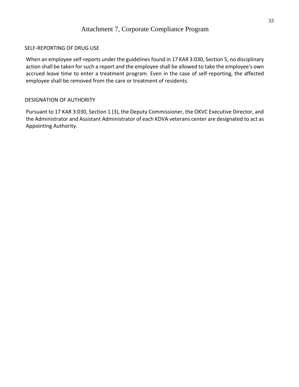## Attachment 7, Corporate Compliance Program

#### SELF-REPORTING OF DRUG USE

When an employee self-reports under the guidelines found in 17 KAR 3:030, Section 5, no disciplinary action shall be taken for such a report and the employee shall be allowed to take the employee's own accrued leave time to enter a treatment program. Even in the case of self-reporting, the affected employee shall be removed from the care or treatment of residents.

#### DESIGNATION OF AUTHORITY

Pursuant to 17 KAR 3:030, Section 1 (3), the Deputy Commissioner, the OKVC Executive Director, and the Administrator and Assistant Administrator of each KDVA veterans center are designated to act as Appointing Authority.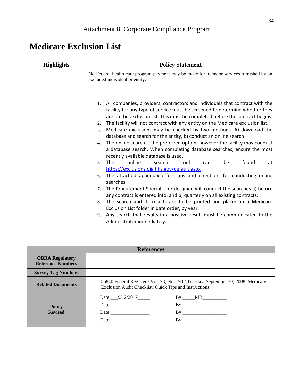## **Medicare Exclusion List**

| <b>Highlights</b> | <b>Policy Statement</b>                                                                                                                                                                                                                                                                                                                                                                                                                                                                                                                                                                                                                                                                                                                                                                 |  |  |  |  |
|-------------------|-----------------------------------------------------------------------------------------------------------------------------------------------------------------------------------------------------------------------------------------------------------------------------------------------------------------------------------------------------------------------------------------------------------------------------------------------------------------------------------------------------------------------------------------------------------------------------------------------------------------------------------------------------------------------------------------------------------------------------------------------------------------------------------------|--|--|--|--|
|                   | No Federal health care program payment may be made for items or services furnished by an<br>excluded individual or entity.                                                                                                                                                                                                                                                                                                                                                                                                                                                                                                                                                                                                                                                              |  |  |  |  |
|                   | All companies, providers, contractors and individuals that contract with the<br>1.<br>facility for any type of service must be screened to determine whether they<br>are on the exclusion list. This must be completed before the contract begins.<br>The facility will not contract with any entity on the Medicare exclusion list.<br>2.<br>Medicare exclusions may be checked by two methods. A) download the<br>3.<br>database and search for the entity, b) conduct an online search<br>The online search is the preferred option, however the facility may conduct<br>4.<br>a database search. When completing database searches, ensure the most<br>recently available database is used.<br>online<br><b>The</b><br>found<br>5 <sub>1</sub><br>search<br>tool<br>can<br>be<br>at |  |  |  |  |
|                   | https://exclusions.oig.hhs.gov/default.aspx<br>The attached appendix offers tips and directions for conducting online<br>6.                                                                                                                                                                                                                                                                                                                                                                                                                                                                                                                                                                                                                                                             |  |  |  |  |
|                   | searches.<br>The Procurement Specialist or designee will conduct the searches a) before<br>7.<br>any contract is entered into, and b) quarterly on all existing contracts.<br>The search and its results are to be printed and placed in a Medicare<br>8.<br>Exclusion List folder in date order, by year.                                                                                                                                                                                                                                                                                                                                                                                                                                                                              |  |  |  |  |
|                   | Any search that results in a positive result must be communicated to the<br>9.<br>Administrator immediately.                                                                                                                                                                                                                                                                                                                                                                                                                                                                                                                                                                                                                                                                            |  |  |  |  |
|                   | <b>References</b>                                                                                                                                                                                                                                                                                                                                                                                                                                                                                                                                                                                                                                                                                                                                                                       |  |  |  |  |
|                   |                                                                                                                                                                                                                                                                                                                                                                                                                                                                                                                                                                                                                                                                                                                                                                                         |  |  |  |  |

| <b>OBRA Regulatory</b><br><b>Reference Numbers</b> |                                                                                                                                             |
|----------------------------------------------------|---------------------------------------------------------------------------------------------------------------------------------------------|
| <b>Survey Tag Numbers</b>                          |                                                                                                                                             |
| <b>Related Documents</b>                           | 56840 Federal Register / Vol. 73, No. 190 / Tuesday, September 30, 2008, Medicare<br>Exclusion Audit Checklist, Quick Tips and Instructions |
| <b>Policy</b><br><b>Revised</b>                    | Date: $9/12/2017$<br>$\text{By:}\_\_\_\_\_\_\_\_\_\_\_\_\_\_\_\_\_\_\_\_\_\_\_\_$<br>By:<br>By:<br>Date:<br>$\rm\,By:$                      |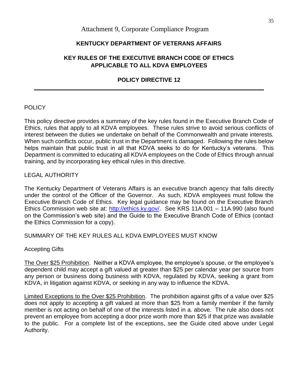#### Attachment 9, Corporate Compliance Program

#### **KENTUCKY DEPARTMENT OF VETERANS AFFAIRS**

### **KEY RULES OF THE EXECUTIVE BRANCH CODE OF ETHICS APPLICABLE TO ALL KDVA EMPLOYEES**

#### **POLICY DIRECTIVE 12**

#### POLICY

This policy directive provides a summary of the key rules found in the Executive Branch Code of Ethics, rules that apply to all KDVA employees. These rules strive to avoid serious conflicts of interest between the duties we undertake on behalf of the Commonwealth and private interests. When such conflicts occur, public trust in the Department is damaged. Following the rules below helps maintain that public trust in all that KDVA seeks to do for Kentucky's veterans. This Department is committed to educating all KDVA employees on the Code of Ethics through annual training, and by incorporating key ethical rules in this directive.

#### LEGAL AUTHORITY

The Kentucky Department of Veterans Affairs is an executive branch agency that falls directly under the control of the Officer of the Governor. As such, KDVA employees must follow the Executive Branch Code of Ethics. Key legal guidance may be found on the Executive Branch Ethics Commission web site at: [http://ethics.ky.gov/.](http://ethics.ky.gov/) See KRS 11A.001 - 11A.990 (also found on the Commission's web site) and the Guide to the Executive Branch Code of Ethics (contact the Ethics Commission for a copy).

SUMMARY OF THE KEY RULES ALL KDVA EMPLOYEES MUST KNOW

#### Accepting Gifts

The Over \$25 Prohibition. Neither a KDVA employee, the employee's spouse, or the employee's dependent child may accept a gift valued at greater than \$25 per calendar year per source from any person or business doing business with KDVA, regulated by KDVA, seeking a grant from KDVA, in litigation against KDVA, or seeking in any way to influence the KDVA.

Limited Exceptions to the Over \$25 Prohibition. The prohibition against gifts of a value over \$25 does not apply to accepting a gift valued at more than \$25 from a family member if the family member is not acting on behalf of one of the interests listed in a. above. The rule also does not prevent an employee from accepting a door prize worth more than \$25 if that prize was available to the public. For a complete list of the exceptions, see the Guide cited above under Legal Authority.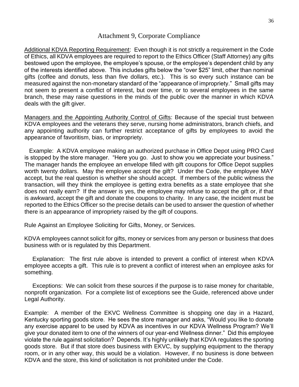Additional KDVA Reporting Requirement: Even though it is not strictly a requirement in the Code of Ethics, all KDVA employees are required to report to the Ethics Officer (Staff Attorney) any gifts bestowed upon the employee, the employee's spouse, or the employee's dependent child by any of the interests identified above. This includes gifts below the "over \$25" limit, other than nominal gifts (coffee and donuts, less than five dollars, etc.). This is so every such instance can be measured against the non-monetary standard of the "appearance of impropriety." Small gifts may not seem to present a conflict of interest, but over time, or to several employees in the same branch, these may raise questions in the minds of the public over the manner in which KDVA deals with the gift giver.

Managers and the Appointing Authority Control of Gifts: Because of the special trust between KDVA employees and the veterans they serve, nursing home administrators, branch chiefs, and any appointing authority can further restrict acceptance of gifts by employees to avoid the appearance of favoritism, bias, or impropriety.

 Example: A KDVA employee making an authorized purchase in Office Depot using PRO Card is stopped by the store manager. "Here you go. Just to show you we appreciate your business." The manager hands the employee an envelope filled with gift coupons for Office Depot supplies worth twenty dollars. May the employee accept the gift? Under the Code, the employee MAY accept, but the real question is whether she should accept. If members of the public witness the transaction, will they think the employee is getting extra benefits as a state employee that she does not really earn? If the answer is yes, the employee may refuse to accept the gift or, if that is awkward, accept the gift and donate the coupons to charity. In any case, the incident must be reported to the Ethics Officer so the precise details can be used to answer the question of whether there is an appearance of impropriety raised by the gift of coupons.

Rule Against an Employee Soliciting for Gifts, Money, or Services.

KDVA employees cannot solicit for gifts, money or services from any person or business that does business with or is regulated by this Department.

 Explanation: The first rule above is intended to prevent a conflict of interest when KDVA employee accepts a gift. This rule is to prevent a conflict of interest when an employee asks for something.

 Exceptions: We can solicit from these sources if the purpose is to raise money for charitable, nonprofit organization. For a complete list of exceptions see the Guide, referenced above under Legal Authority.

Example: A member of the EKVC Wellness Committee is shopping one day in a Hazard, Kentucky sporting goods store. He sees the store manager and asks, "Would you like to donate any exercise apparel to be used by KDVA as incentives in our KDVA Wellness Program? We'll give your donated item to one of the winners of our year-end Wellness dinner." Did this employee violate the rule against solicitation? Depends. It's highly unlikely that KDVA regulates the sporting goods store. But if that store does business with EKVC, by supplying equipment to the therapy room, or in any other way, this would be a violation. However, if no business is done between KDVA and the store, this kind of solicitation is not prohibited under the Code.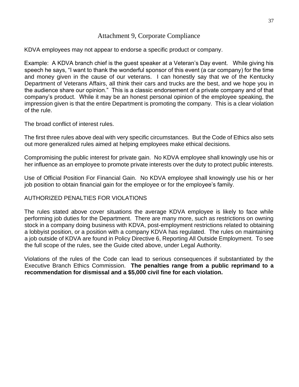#### 37

#### Attachment 9, Corporate Compliance

KDVA employees may not appear to endorse a specific product or company.

Example: A KDVA branch chief is the guest speaker at a Veteran's Day event. While giving his speech he says, "I want to thank the wonderful sponsor of this event (a car company) for the time and money given in the cause of our veterans. I can honestly say that we of the Kentucky Department of Veterans Affairs, all think their cars and trucks are the best, and we hope you in the audience share our opinion." This is a classic endorsement of a private company and of that company's product. While it may be an honest personal opinion of the employee speaking, the impression given is that the entire Department is promoting the company. This is a clear violation of the rule.

The broad conflict of interest rules.

The first three rules above deal with very specific circumstances. But the Code of Ethics also sets out more generalized rules aimed at helping employees make ethical decisions.

Compromising the public interest for private gain. No KDVA employee shall knowingly use his or her influence as an employee to promote private interests over the duty to protect public interests.

Use of Official Position For Financial Gain. No KDVA employee shall knowingly use his or her job position to obtain financial gain for the employee or for the employee's family.

#### AUTHORIZED PENALTIES FOR VIOLATIONS

The rules stated above cover situations the average KDVA employee is likely to face while performing job duties for the Department. There are many more, such as restrictions on owning stock in a company doing business with KDVA, post-employment restrictions related to obtaining a lobbyist position, or a position with a company KDVA has regulated. The rules on maintaining a job outside of KDVA are found in Policy Directive 6, Reporting All Outside Employment. To see the full scope of the rules, see the Guide cited above, under Legal Authority.

Violations of the rules of the Code can lead to serious consequences if substantiated by the Executive Branch Ethics Commission. **The penalties range from a public reprimand to a recommendation for dismissal and a \$5,000 civil fine for each violation.**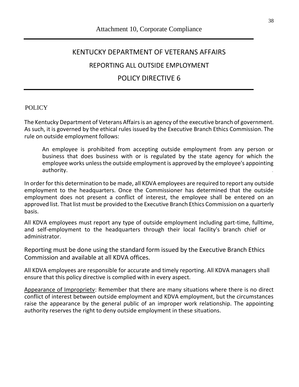## KENTUCKY DEPARTMENT OF VETERANS AFFAIRS

## REPORTING ALL OUTSIDE EMPLOYMENT

## POLICY DIRECTIVE 6

#### POLICY

The Kentucky Department of Veterans Affairs is an agency of the executive branch of government. As such, it is governed by the ethical rules issued by the Executive Branch Ethics Commission. The rule on outside employment follows:

An employee is prohibited from accepting outside employment from any person or business that does business with or is regulated by the state agency for which the employee works unless the outside employment is approved by the employee's appointing authority.

In order for this determination to be made, all KDVA employees are required to report any outside employment to the headquarters. Once the Commissioner has determined that the outside employment does not present a conflict of interest, the employee shall be entered on an approved list. That list must be provided to the Executive Branch Ethics Commission on a quarterly basis.

All KDVA employees must report any type of outside employment including part-time, fulltime, and self-employment to the headquarters through their local facility's branch chief or administrator.

Reporting must be done using the standard form issued by the Executive Branch Ethics Commission and available at all KDVA offices.

All KDVA employees are responsible for accurate and timely reporting. All KDVA managers shall ensure that this policy directive is complied with in every aspect.

Appearance of Improprietv: Remember that there are many situations where there is no direct conflict of interest between outside employment and KDVA employment, but the circumstances raise the appearance by the general public of an improper work relationship. The appointing authority reserves the right to deny outside employment in these situations.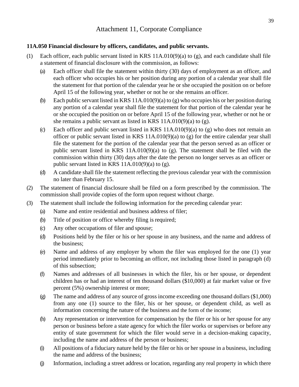#### **11A.050 Financial disclosure by officers, candidates, and public servants.**

- (1) Each officer, each public servant listed in KRS 11A.010(9)(a) to (g), and each candidate shall file a statement of financial disclosure with the commission, as follows:
	- (a) Each officer shall file the statement within thirty (30) days of employment as an officer, and each officer who occupies his or her position during any portion of a calendar year shall file the statement for that portion of the calendar year he or she occupied the position on or before April 15 of the following year, whether or not he or she remains an officer.
	- (b) Each public servant listed in KRS 11A.010(9)(a) to (g) who occupies his or her position during any portion of a calendar year shall file the statement for that portion of the calendar year he or she occupied the position on or before April 15 of the following year, whether or not he or she remains a public servant as listed in KRS 11A.010(9)(a) to (g).
	- (c) Each officer and public servant listed in KRS  $11A.010(9)(a)$  to (g) who does not remain an officer or public servant listed in KRS 11A.010(9)(a) to (g) for the entire calendar year shall file the statement for the portion of the calendar year that the person served as an officer or public servant listed in KRS 11A.010(9)(a) to (g). The statement shall be filed with the commission within thirty (30) days after the date the person no longer serves as an officer or public servant listed in KRS 11A.010(9)(a) to (g).
	- (d) A candidate shall file the statement reflecting the previous calendar year with the commission no later than February 15.
- (2) The statement of financial disclosure shall be filed on a form prescribed by the commission. The commission shall provide copies of the form upon request without charge.
- (3) The statement shall include the following information for the preceding calendar year:
	- (a) Name and entire residential and business address of filer;
	- (b) Title of position or office whereby filing is required;
	- (c) Any other occupations of filer and spouse;
	- (d) Positions held by the filer or his or her spouse in any business, and the name and address of the business;
	- (e) Name and address of any employer by whom the filer was employed for the one (1) year period immediately prior to becoming an officer, not including those listed in paragraph (d) of this subsection;
	- (f) Names and addresses of all businesses in which the filer, his or her spouse, or dependent children has or had an interest of ten thousand dollars (\$10,000) at fair market value or five percent (5%) ownership interest or more;
	- (g) The name and address of any source of gross income exceeding one thousand dollars (\$1,000) from any one (1) source to the filer, his or her spouse, or dependent child, as well as information concerning the nature of the business and the form of the income;
	- (h) Any representation or intervention for compensation by the filer or his or her spouse for any person or business before a state agency for which the filer works or supervises or before any entity of state government for which the filer would serve in a decision-making capacity, including the name and address of the person or business;
	- (i) All positions of a fiduciary nature held by the filer or his or her spouse in a business, including the name and address of the business;
	- (j) Information, including a street address or location, regarding any real property in which there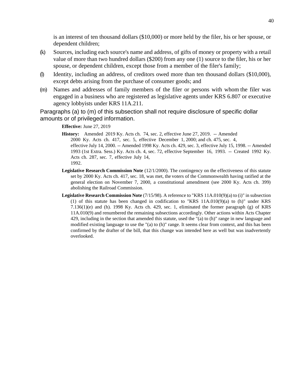is an interest of ten thousand dollars (\$10,000) or more held by the filer, his or her spouse, or dependent children;

- (k) Sources, including each source's name and address, of gifts of money or property with a retail value of more than two hundred dollars (\$200) from any one (1) source to the filer, his or her spouse, or dependent children, except those from a member of the filer's family;
- (l) Identity, including an address, of creditors owed more than ten thousand dollars (\$10,000), except debts arising from the purchase of consumer goods; and
- (m) Names and addresses of family members of the filer or persons with whom the filer was engaged in a business who are registered as legislative agents under KRS 6.807 or executive agency lobbyists under KRS 11A.211.

Paragraphs (a) to (m) of this subsection shall not require disclosure of specific dollar amounts or of privileged information.

**Effective:** June 27, 2019

- **History:** Amended 2019 Ky. Acts ch. 74, sec. 2, effective June 27, 2019. -- Amended 2000 Ky. Acts ch. 417, sec. 5, effective December 1, 2000; and ch. 475, sec. 4, effective July 14, 2000. -- Amended 1998 Ky. Acts ch. 429, sec. 3, effective July 15, 1998. -- Amended 1993 (1st Extra. Sess.) Ky. Acts ch. 4, sec. 72, effective September 16, 1993. -- Created 1992 Ky. Acts ch. 287, sec. 7, effective July 14, 1992.
- **Legislative Research Commission Note** (12/1/2000). The contingency on the effectiveness of this statute set by 2000 Ky. Acts ch. 417, sec. 18, was met, the voters of the Commonwealth having ratified at the general election on November 7, 2000, a constitutional amendment (see 2000 Ky. Acts ch. 399) abolishing the Railroad Commission.
- **Legislative Research Commission Note** (7/15/98). A reference to "KRS 11A.010(9)(a) to (i)" in subsection (1) of this statute has been changed in codification to "KRS 11A.010(9)(a) to (h)" under KRS 7.136(1)(e) and (h). 1998 Ky. Acts ch. 429, sec. 1, eliminated the former paragraph (g) of KRS 11A.010(9) and renumbered the remaining subsections accordingly. Other actions within Acts Chapter 429, including in the section that amended this statute, used the "(a) to (h)" range in new language and modified existing language to use the "(a) to (h)" range. It seems clear from context, and this has been confirmed by the drafter of the bill, that this change was intended here as well but was inadvertently overlooked.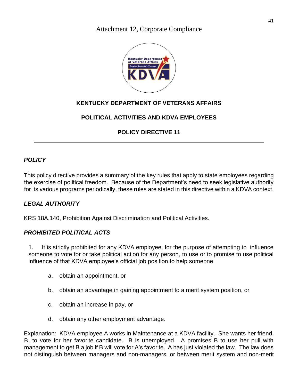

## **KENTUCKY DEPARTMENT OF VETERANS AFFAIRS**

## **POLITICAL ACTIVITIES AND KDVA EMPLOYEES**

**POLICY DIRECTIVE 11** 

## *POLICY*

This policy directive provides a summary of the key rules that apply to state employees regarding the exercise of political freedom. Because of the Department's need to seek legislative authority for its various programs periodically, these rules are stated in this directive within a KDVA context.

## *LEGAL AUTHORITY*

KRS 18A.140, Prohibition Against Discrimination and Political Activities.

## *PROHIBITED POLITICAL ACTS*

1. It is strictly prohibited for any KDVA employee, for the purpose of attempting to influence someone to vote for or take political action for any person, to use or to promise to use political influence of that KDVA employee's official job position to help someone

- a. obtain an appointment, or
- b. obtain an advantage in gaining appointment to a merit system position, or
- c. obtain an increase in pay, or
- d. obtain any other employment advantage.

Explanation: KDVA employee A works in Maintenance at a KDVA facility. She wants her friend, B, to vote for her favorite candidate. B is unemployed. A promises B to use her pull with management to get B a job if B will vote for A's favorite. A has just violated the law. The law does not distinguish between managers and non-managers, or between merit system and non-merit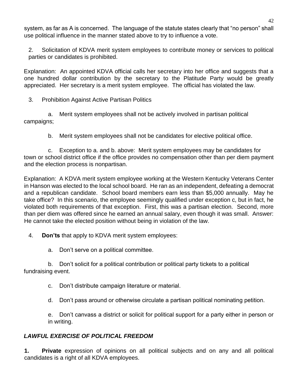system, as far as A is concerned. The language of the statute states clearly that "no person" shall use political influence in the manner stated above to try to influence a vote.

2. Solicitation of KDVA merit system employees to contribute money or services to political parties or candidates is prohibited.

Explanation: An appointed KDVA official calls her secretary into her office and suggests that a one hundred dollar contribution by the secretary to the Platitude Party would be greatly appreciated. Her secretary is a merit system employee. The official has violated the law.

3. Prohibition Against Active Partisan Politics

a. Merit system employees shall not be actively involved in partisan political campaigns;

b. Merit system employees shall not be candidates for elective political office.

c. Exception to a. and b. above: Merit system employees may be candidates for town or school district office if the office provides no compensation other than per diem payment and the election process is nonpartisan.

Explanation: A KDVA merit system employee working at the Western Kentucky Veterans Center in Hanson was elected to the local school board. He ran as an independent, defeating a democrat and a republican candidate. School board members earn less than \$5,000 annually. May he take office? In this scenario, the employee seemingly qualified under exception c, but in fact, he violated both requirements of that exception. First, this was a partisan election. Second, more than per diem was offered since he earned an annual salary, even though it was small. Answer: He cannot take the elected position without being in violation of the law.

- 4. **Don'ts** that apply to KDVA merit system employees:
	- a. Don't serve on a political committee.

b. Don't solicit for a political contribution or political party tickets to a political fundraising event.

- c. Don't distribute campaign literature or material.
- d. Don't pass around or otherwise circulate a partisan political nominating petition.

e. Don't canvass a district or solicit for political support for a party either in person or in writing.

## *LAWFUL EXERCISE OF POLITICAL FREEDOM*

**1. Private** expression of opinions on all political subjects and on any and all political candidates is a right of all KDVA employees.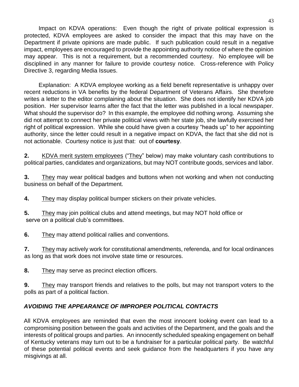Impact on KDVA operations: Even though the right of private political expression is protected, KDVA employees are asked to consider the impact that this may have on the Department if private opinions are made public. If such publication could result in a negative impact, employees are encouraged to provide the appointing authority notice of where the opinion may appear. This is not a requirement, but a recommended courtesy. No employee will be disciplined in any manner for failure to provide courtesy notice. Cross-reference with Policy Directive 3, regarding Media Issues.

 Explanation: A KDVA employee working as a field benefit representative is unhappy over recent reductions in VA benefits by the federal Department of Veterans Affairs. She therefore writes a letter to the editor complaining about the situation. She does not identify her KDVA job position. Her supervisor learns after the fact that the letter was published in a local newspaper. What should the supervisor do? In this example, the employee did nothing wrong. Assuming she did not attempt to connect her private political views with her state job, she lawfully exercised her right of political expression. While she could have given a courtesy "heads up" to her appointing authority, since the letter could result in a negative impact on KDVA, the fact that she did not is not actionable. Courtesy notice is just that: out of **courtesy**.

**2.** KDVA merit system employees ("They" below) may make voluntary cash contributions to political parties, candidates and organizations, but may NOT contribute goods, services and labor.

**3.** They may wear political badges and buttons when not working and when not conducting business on behalf of the Department.

**4.** They may display political bumper stickers on their private vehicles.

**5.** They may join political clubs and attend meetings, but may NOT hold office or serve on a political club's committees.

**6.** They may attend political rallies and conventions.

**7.** They may actively work for constitutional amendments, referenda, and for local ordinances as long as that work does not involve state time or resources.

**8.** They may serve as precinct election officers.

**9.** They may transport friends and relatives to the polls, but may not transport voters to the polls as part of a political faction.

## *AVOIDING THE APPEARANCE OF IMPROPER POLITICAL CONTACTS*

All KDVA employees are reminded that even the most innocent looking event can lead to a compromising position between the goals and activities of the Department, and the goals and the interests of political groups and parties. An innocently scheduled speaking engagement on behalf of Kentucky veterans may turn out to be a fundraiser for a particular political party. Be watchful of these potential political events and seek guidance from the headquarters if you have any misgivings at all.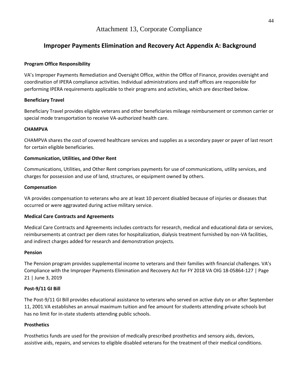## **Improper Payments Elimination and Recovery Act Appendix A: Background**

#### **Program Office Responsibility**

VA's Improper Payments Remediation and Oversight Office, within the Office of Finance, provides oversight and coordination of IPERA compliance activities. Individual administrations and staff offices are responsible for performing IPERA requirements applicable to their programs and activities, which are described below.

#### **Beneficiary Travel**

Beneficiary Travel provides eligible veterans and other beneficiaries mileage reimbursement or common carrier or special mode transportation to receive VA-authorized health care.

#### **CHAMPVA**

CHAMPVA shares the cost of covered healthcare services and supplies as a secondary payer or payer of last resort for certain eligible beneficiaries.

#### **Communication, Utilities, and Other Rent**

Communications, Utilities, and Other Rent comprises payments for use of communications, utility services, and charges for possession and use of land, structures, or equipment owned by others.

#### **Compensation**

VA provides compensation to veterans who are at least 10 percent disabled because of injuries or diseases that occurred or were aggravated during active military service.

#### **Medical Care Contracts and Agreements**

Medical Care Contracts and Agreements includes contracts for research, medical and educational data or services, reimbursements at contract per diem rates for hospitalization, dialysis treatment furnished by non-VA facilities, and indirect charges added for research and demonstration projects.

#### **Pension**

The Pension program provides supplemental income to veterans and their families with financial challenges. VA's Compliance with the Improper Payments Elimination and Recovery Act for FY 2018 VA OIG 18-05864-127 | Page 21 | June 3, 2019

#### **Post-9/11 GI Bill**

The Post-9/11 GI Bill provides educational assistance to veterans who served on active duty on or after September 11, 2001.VA establishes an annual maximum tuition and fee amount for students attending private schools but has no limit for in-state students attending public schools.

#### **Prosthetics**

Prosthetics funds are used for the provision of medically prescribed prosthetics and sensory aids, devices, assistive aids, repairs, and services to eligible disabled veterans for the treatment of their medical conditions.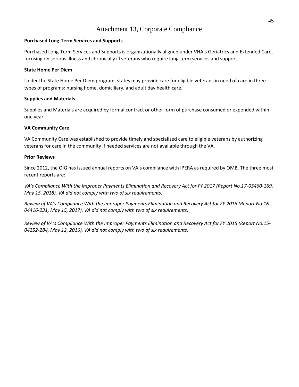#### **Purchased Long-Term Services and Supports**

Purchased Long-Term Services and Supports is organizationally aligned under VHA's Geriatrics and Extended Care, focusing on serious illness and chronically ill veterans who require long-term services and support.

#### **State Home Per Diem**

Under the State Home Per Diem program, states may provide care for eligible veterans in need of care in three types of programs: nursing home, domiciliary, and adult day health care.

#### **Supplies and Materials**

Supplies and Materials are acquired by formal contract or other form of purchase consumed or expended within one year.

#### **VA Community Care**

VA Community Care was established to provide timely and specialized care to eligible veterans by authorizing veterans for care in the community if needed services are not available through the VA.

#### **Prior Reviews**

Since 2012, the OIG has issued annual reports on VA's compliance with IPERA as required by OMB. The three most recent reports are:

*VA's Compliance With the Improper Payments Elimination and Recovery Act for FY 2017 (Report No.17-05460-169, May 15, 2018). VA did not comply with two of six requirements.* 

*Review of VA's Compliance With the Improper Payments Elimination and Recovery Act for FY 2016 (Report No.16- 04416-231, May 15, 2017). VA did not comply with two of six requirements.* 

*Review of VA's Compliance With the Improper Payments Elimination and Recovery Act for FY 2015 (Report No.15- 04252-284, May 12, 2016). VA did not comply with two of six requirements.*